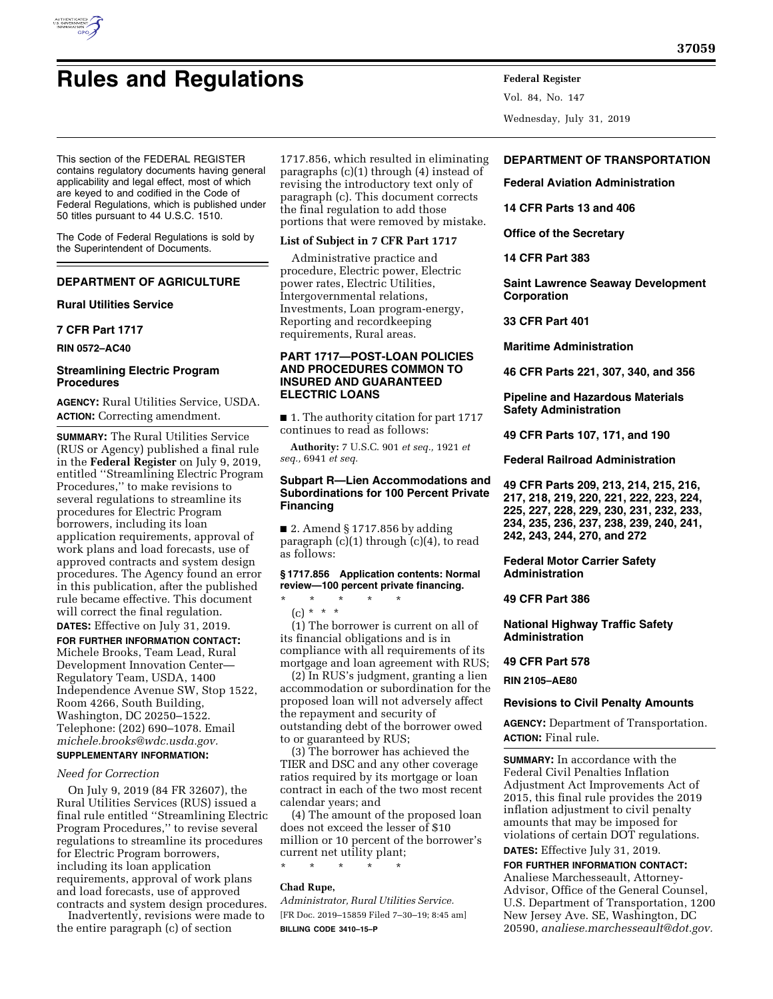

# **Rules and Regulations Federal Register**

Vol. 84, No. 147 Wednesday, July 31, 2019

This section of the FEDERAL REGISTER contains regulatory documents having general applicability and legal effect, most of which are keyed to and codified in the Code of Federal Regulations, which is published under 50 titles pursuant to 44 U.S.C. 1510.

The Code of Federal Regulations is sold by the Superintendent of Documents.

# **DEPARTMENT OF AGRICULTURE**

### **Rural Utilities Service**

**7 CFR Part 1717** 

**RIN 0572–AC40** 

### **Streamlining Electric Program Procedures**

**AGENCY:** Rural Utilities Service, USDA. **ACTION:** Correcting amendment.

**SUMMARY:** The Rural Utilities Service (RUS or Agency) published a final rule in the **Federal Register** on July 9, 2019, entitled ''Streamlining Electric Program Procedures,'' to make revisions to several regulations to streamline its procedures for Electric Program borrowers, including its loan application requirements, approval of work plans and load forecasts, use of approved contracts and system design procedures. The Agency found an error in this publication, after the published rule became effective. This document will correct the final regulation. **DATES:** Effective on July 31, 2019.

**FOR FURTHER INFORMATION CONTACT:**  Michele Brooks, Team Lead, Rural Development Innovation Center— Regulatory Team, USDA, 1400 Independence Avenue SW, Stop 1522, Room 4266, South Building, Washington, DC 20250–1522. Telephone: (202) 690–1078. Email *[michele.brooks@wdc.usda.gov.](mailto:michele.brooks@wdc.usda.gov)*  **SUPPLEMENTARY INFORMATION:** 

# *Need for Correction*

On July 9, 2019 (84 FR 32607), the Rural Utilities Services (RUS) issued a final rule entitled ''Streamlining Electric Program Procedures,'' to revise several regulations to streamline its procedures for Electric Program borrowers, including its loan application requirements, approval of work plans and load forecasts, use of approved contracts and system design procedures.

Inadvertently, revisions were made to the entire paragraph (c) of section

1717.856, which resulted in eliminating paragraphs (c)(1) through (4) instead of revising the introductory text only of paragraph (c). This document corrects the final regulation to add those portions that were removed by mistake.

### **List of Subject in 7 CFR Part 1717**

Administrative practice and procedure, Electric power, Electric power rates, Electric Utilities, Intergovernmental relations, Investments, Loan program-energy, Reporting and recordkeeping requirements, Rural areas.

### **PART 1717—POST-LOAN POLICIES AND PROCEDURES COMMON TO INSURED AND GUARANTEED ELECTRIC LOANS**

■ 1. The authority citation for part 1717 continues to read as follows:

**Authority:** 7 U.S.C. 901 *et seq.,* 1921 *et seq.,* 6941 *et seq.* 

### **Subpart R—Lien Accommodations and Subordinations for 100 Percent Private Financing**

■ 2. Amend § 1717.856 by adding paragraph (c)(1) through (c)(4), to read as follows:

#### **§ 1717.856 Application contents: Normal review—100 percent private financing.**

\* \* \* \* \* (c) \* \* \*

(1) The borrower is current on all of its financial obligations and is in compliance with all requirements of its mortgage and loan agreement with RUS;

(2) In RUS's judgment, granting a lien accommodation or subordination for the proposed loan will not adversely affect the repayment and security of outstanding debt of the borrower owed to or guaranteed by RUS;

(3) The borrower has achieved the TIER and DSC and any other coverage ratios required by its mortgage or loan contract in each of the two most recent calendar years; and

(4) The amount of the proposed loan does not exceed the lesser of \$10 million or 10 percent of the borrower's current net utility plant;

\* \* \* \* \*

### **Chad Rupe,**

*Administrator, Rural Utilities Service.*  [FR Doc. 2019–15859 Filed 7–30–19; 8:45 am] **BILLING CODE 3410–15–P** 

# **DEPARTMENT OF TRANSPORTATION**

**Federal Aviation Administration** 

**14 CFR Parts 13 and 406** 

**Office of the Secretary** 

#### **14 CFR Part 383**

**Saint Lawrence Seaway Development Corporation** 

#### **33 CFR Part 401**

**Maritime Administration** 

**46 CFR Parts 221, 307, 340, and 356** 

**Pipeline and Hazardous Materials Safety Administration** 

**49 CFR Parts 107, 171, and 190** 

**Federal Railroad Administration** 

**49 CFR Parts 209, 213, 214, 215, 216, 217, 218, 219, 220, 221, 222, 223, 224, 225, 227, 228, 229, 230, 231, 232, 233, 234, 235, 236, 237, 238, 239, 240, 241, 242, 243, 244, 270, and 272** 

### **Federal Motor Carrier Safety Administration**

**49 CFR Part 386** 

**National Highway Traffic Safety Administration** 

### **49 CFR Part 578**

**RIN 2105–AE80** 

#### **Revisions to Civil Penalty Amounts**

**AGENCY:** Department of Transportation. **ACTION:** Final rule.

**SUMMARY:** In accordance with the Federal Civil Penalties Inflation Adjustment Act Improvements Act of 2015, this final rule provides the 2019 inflation adjustment to civil penalty amounts that may be imposed for violations of certain DOT regulations. **DATES:** Effective July 31, 2019.

**FOR FURTHER INFORMATION CONTACT:**  Analiese Marchesseault, Attorney-Advisor, Office of the General Counsel, U.S. Department of Transportation, 1200 New Jersey Ave. SE, Washington, DC 20590, *[analiese.marchesseault@dot.gov.](mailto:analiese.marchesseault@dot.gov)*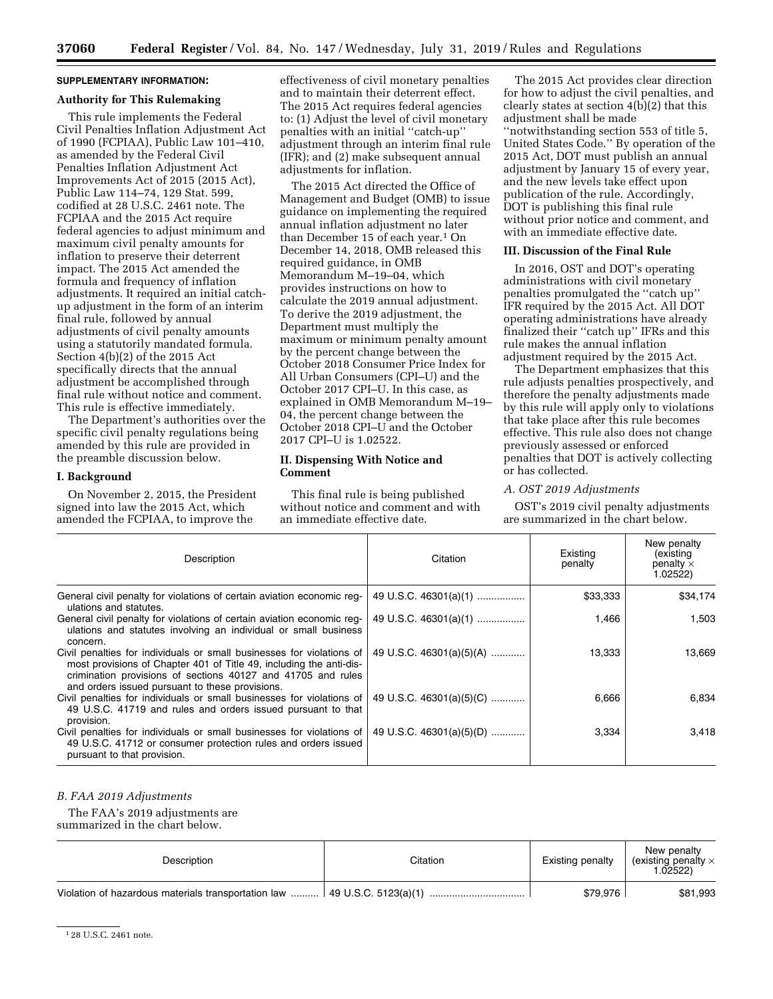**37060 Federal Register** / Vol. 84, No. 147 / Wednesday, July 31, 2019 / Rules and Regulations

# **SUPPLEMENTARY INFORMATION:**

### **Authority for This Rulemaking**

This rule implements the Federal Civil Penalties Inflation Adjustment Act of 1990 (FCPIAA), Public Law 101–410, as amended by the Federal Civil Penalties Inflation Adjustment Act Improvements Act of 2015 (2015 Act), Public Law 114–74, 129 Stat. 599, codified at 28 U.S.C. 2461 note. The FCPIAA and the 2015 Act require federal agencies to adjust minimum and maximum civil penalty amounts for inflation to preserve their deterrent impact. The 2015 Act amended the formula and frequency of inflation adjustments. It required an initial catchup adjustment in the form of an interim final rule, followed by annual adjustments of civil penalty amounts using a statutorily mandated formula. Section 4(b)(2) of the 2015 Act specifically directs that the annual adjustment be accomplished through final rule without notice and comment. This rule is effective immediately.

The Department's authorities over the specific civil penalty regulations being amended by this rule are provided in the preamble discussion below.

### **I. Background**

On November 2, 2015, the President signed into law the 2015 Act, which amended the FCPIAA, to improve the

effectiveness of civil monetary penalties and to maintain their deterrent effect. The 2015 Act requires federal agencies to: (1) Adjust the level of civil monetary penalties with an initial ''catch-up'' adjustment through an interim final rule (IFR); and (2) make subsequent annual adjustments for inflation.

The 2015 Act directed the Office of Management and Budget (OMB) to issue guidance on implementing the required annual inflation adjustment no later than December 15 of each year.1 On December 14, 2018, OMB released this required guidance, in OMB Memorandum M–19–04, which provides instructions on how to calculate the 2019 annual adjustment. To derive the 2019 adjustment, the Department must multiply the maximum or minimum penalty amount by the percent change between the October 2018 Consumer Price Index for All Urban Consumers (CPI–U) and the October 2017 CPI–U. In this case, as explained in OMB Memorandum M–19– 04, the percent change between the October 2018 CPI–U and the October 2017 CPI–U is 1.02522.

### **II. Dispensing With Notice and Comment**

This final rule is being published without notice and comment and with an immediate effective date.

The 2015 Act provides clear direction for how to adjust the civil penalties, and clearly states at section 4(b)(2) that this adjustment shall be made ''notwithstanding section 553 of title 5, United States Code.'' By operation of the 2015 Act, DOT must publish an annual adjustment by January 15 of every year, and the new levels take effect upon publication of the rule. Accordingly, DOT is publishing this final rule without prior notice and comment, and with an immediate effective date.

### **III. Discussion of the Final Rule**

In 2016, OST and DOT's operating administrations with civil monetary penalties promulgated the ''catch up'' IFR required by the 2015 Act. All DOT operating administrations have already finalized their "catch up" IFRs and this rule makes the annual inflation adjustment required by the 2015 Act.

The Department emphasizes that this rule adjusts penalties prospectively, and therefore the penalty adjustments made by this rule will apply only to violations that take place after this rule becomes effective. This rule also does not change previously assessed or enforced penalties that DOT is actively collecting or has collected.

#### *A. OST 2019 Adjustments*

OST's 2019 civil penalty adjustments are summarized in the chart below.

| Description                                                                                                                                                                                                                                                     | Citation                 | Existing<br>penalty | New penalty<br>(existing<br>penalty $\times$<br>1.02522) |
|-----------------------------------------------------------------------------------------------------------------------------------------------------------------------------------------------------------------------------------------------------------------|--------------------------|---------------------|----------------------------------------------------------|
| General civil penalty for violations of certain aviation economic reg-<br>ulations and statutes.                                                                                                                                                                | 49 U.S.C. 46301(a)(1)    | \$33,333            | \$34,174                                                 |
| General civil penalty for violations of certain aviation economic req-<br>ulations and statutes involving an individual or small business<br>concern.                                                                                                           | 49 U.S.C. 46301(a)(1)    | 1,466               | 1,503                                                    |
| Civil penalties for individuals or small businesses for violations of<br>most provisions of Chapter 401 of Title 49, including the anti-dis-<br>crimination provisions of sections 40127 and 41705 and rules<br>and orders issued pursuant to these provisions. | 49 U.S.C. 46301(a)(5)(A) | 13,333              | 13,669                                                   |
| Civil penalties for individuals or small businesses for violations of<br>49 U.S.C. 41719 and rules and orders issued pursuant to that<br>provision.                                                                                                             | 49 U.S.C. 46301(a)(5)(C) | 6,666               | 6.834                                                    |
| Civil penalties for individuals or small businesses for violations of<br>49 U.S.C. 41712 or consumer protection rules and orders issued<br>pursuant to that provision.                                                                                          | 49 U.S.C. 46301(a)(5)(D) | 3,334               | 3,418                                                    |

# *B. FAA 2019 Adjustments*

The FAA's 2019 adjustments are summarized in the chart below.

Description **Description Citation** Citation **Existing penalty** New penalty (existing penalty × 1.02522) Violation of hazardous materials transportation law .......... 49 U.S.C. 5123(a)(1) .................................. \$79,976 \$81,993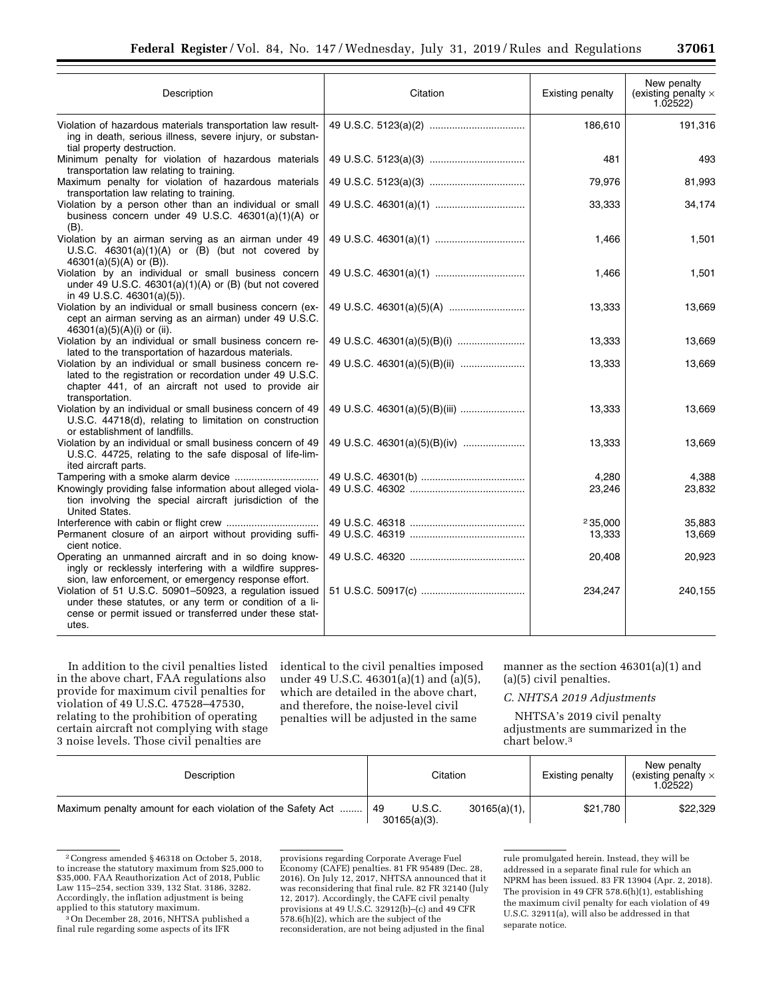| Description                                                                                                                                                                                    | Citation                      | Existing penalty  | New penalty<br>(existing penalty $\times$<br>1.02522) |
|------------------------------------------------------------------------------------------------------------------------------------------------------------------------------------------------|-------------------------------|-------------------|-------------------------------------------------------|
| Violation of hazardous materials transportation law result-<br>ing in death, serious illness, severe injury, or substan-<br>tial property destruction.                                         |                               | 186,610           | 191,316                                               |
| Minimum penalty for violation of hazardous materials<br>transportation law relating to training.                                                                                               |                               | 481               | 493                                                   |
| Maximum penalty for violation of hazardous materials<br>transportation law relating to training.                                                                                               |                               | 79,976            | 81,993                                                |
| Violation by a person other than an individual or small<br>business concern under 49 U.S.C. 46301(a)(1)(A) or<br>$(B)$ .                                                                       |                               | 33,333            | 34,174                                                |
| Violation by an airman serving as an airman under 49<br>U.S.C. $46301(a)(1)(A)$ or $(B)$ (but not covered by<br>$46301(a)(5)(A)$ or $(B)$ ).                                                   |                               | 1,466             | 1,501                                                 |
| Violation by an individual or small business concern<br>under 49 U.S.C. $46301(a)(1)(A)$ or (B) (but not covered<br>in 49 U.S.C. 46301(a)(5)).                                                 |                               | 1,466             | 1,501                                                 |
| Violation by an individual or small business concern (ex-<br>cept an airman serving as an airman) under 49 U.S.C.<br>46301(a)(5)(A)(i) or (ii).                                                |                               | 13,333            | 13,669                                                |
| Violation by an individual or small business concern re-<br>lated to the transportation of hazardous materials.                                                                                |                               | 13,333            | 13,669                                                |
| Violation by an individual or small business concern re-<br>lated to the registration or recordation under 49 U.S.C.<br>chapter 441, of an aircraft not used to provide air<br>transportation. |                               | 13,333            | 13,669                                                |
| Violation by an individual or small business concern of 49<br>U.S.C. 44718(d), relating to limitation on construction<br>or establishment of landfills.                                        | 49 U.S.C. 46301(a)(5)(B)(iii) | 13,333            | 13,669                                                |
| Violation by an individual or small business concern of 49<br>U.S.C. 44725, relating to the safe disposal of life-lim-<br>ited aircraft parts.                                                 | 49 U.S.C. 46301(a)(5)(B)(iv)  | 13,333            | 13,669                                                |
| Tampering with a smoke alarm device<br>Knowingly providing false information about alleged viola-<br>tion involving the special aircraft jurisdiction of the<br>United States.                 |                               | 4,280<br>23,246   | 4,388<br>23,832                                       |
| Permanent closure of an airport without providing suffi-<br>cient notice.                                                                                                                      |                               | 235.000<br>13,333 | 35.883<br>13,669                                      |
| Operating an unmanned aircraft and in so doing know-<br>ingly or recklessly interfering with a wildfire suppres-<br>sion, law enforcement, or emergency response effort.                       |                               | 20,408            | 20,923                                                |
| Violation of 51 U.S.C. 50901-50923, a regulation issued<br>under these statutes, or any term or condition of a li-<br>cense or permit issued or transferred under these stat-<br>utes.         |                               | 234,247           | 240,155                                               |

In addition to the civil penalties listed in the above chart, FAA regulations also provide for maximum civil penalties for violation of 49 U.S.C. 47528–47530, relating to the prohibition of operating certain aircraft not complying with stage 3 noise levels. Those civil penalties are

identical to the civil penalties imposed under 49 U.S.C. 46301(a)(1) and (a)(5), which are detailed in the above chart, and therefore, the noise-level civil penalties will be adjusted in the same

manner as the section 46301(a)(1) and (a)(5) civil penalties.

### *C. NHTSA 2019 Adjustments*

NHTSA's 2019 civil penalty adjustments are summarized in the chart below.3

| Description                                                 | Citation                          |                 | <b>Existing penalty</b> | New penalty<br>(existing penalty $\times$<br>.02522) |
|-------------------------------------------------------------|-----------------------------------|-----------------|-------------------------|------------------------------------------------------|
| Maximum penalty amount for each violation of the Safety Act | U.S.C.<br>. 49<br>$30165(a)(3)$ . | $30165(a)(1)$ , | \$21,780                | \$22,329                                             |

<sup>2</sup>Congress amended § 46318 on October 5, 2018, to increase the statutory maximum from \$25,000 to \$35,000. FAA Reauthorization Act of 2018, Public Law 115–254, section 339, 132 Stat. 3186, 3282. Accordingly, the inflation adjustment is being applied to this statutory maximum.

provisions regarding Corporate Average Fuel Economy (CAFE) penalties. 81 FR 95489 (Dec. 28, 2016). On July 12, 2017, NHTSA announced that it was reconsidering that final rule. 82 FR 32140 (July 12, 2017). Accordingly, the CAFE civil penalty provisions at 49 U.S.C. 32912(b)–(c) and 49 CFR 578.6(h)(2), which are the subject of the reconsideration, are not being adjusted in the final

<sup>3</sup>On December 28, 2016, NHTSA published a final rule regarding some aspects of its IFR

rule promulgated herein. Instead, they will be addressed in a separate final rule for which an NPRM has been issued. 83 FR 13904 (Apr. 2, 2018). The provision in 49 CFR 578.6(h)(1), establishing the maximum civil penalty for each violation of 49 U.S.C. 32911(a), will also be addressed in that separate notice.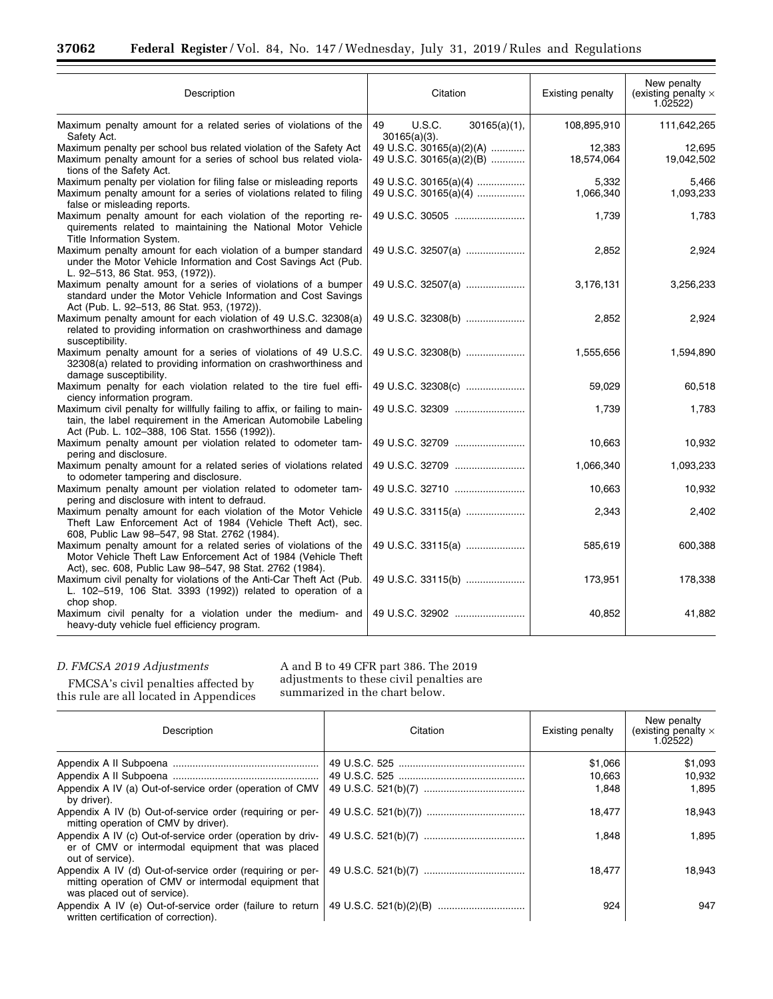п

| Description                                                                                                                                                                                                    | Citation                                               | <b>Existing penalty</b> | New penalty<br>(existing penalty $\times$<br>1.02522) |
|----------------------------------------------------------------------------------------------------------------------------------------------------------------------------------------------------------------|--------------------------------------------------------|-------------------------|-------------------------------------------------------|
| Maximum penalty amount for a related series of violations of the<br>Safety Act.                                                                                                                                | 49<br><b>U.S.C.</b><br>30165(a)(1),<br>$30165(a)(3)$ . | 108,895,910             | 111,642,265                                           |
| Maximum penalty per school bus related violation of the Safety Act<br>Maximum penalty amount for a series of school bus related viola-<br>tions of the Safety Act.                                             | 49 U.S.C. 30165(a)(2)(A)<br>49 U.S.C. 30165(a)(2)(B)   | 12,383<br>18,574,064    | 12,695<br>19,042,502                                  |
| Maximum penalty per violation for filing false or misleading reports<br>Maximum penalty amount for a series of violations related to filing<br>false or misleading reports.                                    | 49 U.S.C. 30165(a)(4)<br>49 U.S.C. 30165(a)(4)         | 5,332<br>1,066,340      | 5,466<br>1,093,233                                    |
| Maximum penalty amount for each violation of the reporting re-<br>quirements related to maintaining the National Motor Vehicle<br>Title Information System.                                                    | 49 U.S.C. 30505                                        | 1,739                   | 1,783                                                 |
| Maximum penalty amount for each violation of a bumper standard<br>under the Motor Vehicle Information and Cost Savings Act (Pub.<br>L. 92-513, 86 Stat. 953, (1972)).                                          | 49 U.S.C. 32507(a)                                     | 2,852                   | 2,924                                                 |
| Maximum penalty amount for a series of violations of a bumper<br>standard under the Motor Vehicle Information and Cost Savings<br>Act (Pub. L. 92-513, 86 Stat. 953, (1972)).                                  | 49 U.S.C. 32507(a)                                     | 3,176,131               | 3,256,233                                             |
| Maximum penalty amount for each violation of 49 U.S.C. 32308(a)<br>related to providing information on crashworthiness and damage<br>susceptibility.                                                           | 49 U.S.C. 32308(b)                                     | 2,852                   | 2,924                                                 |
| Maximum penalty amount for a series of violations of 49 U.S.C.<br>32308(a) related to providing information on crashworthiness and<br>damage susceptibility.                                                   | 49 U.S.C. 32308(b)                                     | 1,555,656               | 1,594,890                                             |
| Maximum penalty for each violation related to the tire fuel effi-<br>ciency information program.                                                                                                               | 49 U.S.C. 32308(c)                                     | 59,029                  | 60,518                                                |
| Maximum civil penalty for willfully failing to affix, or failing to main-<br>tain, the label requirement in the American Automobile Labeling<br>Act (Pub. L. 102-388, 106 Stat. 1556 (1992)).                  | 49 U.S.C. 32309                                        | 1,739                   | 1,783                                                 |
| Maximum penalty amount per violation related to odometer tam-<br>pering and disclosure.                                                                                                                        | 49 U.S.C. 32709                                        | 10,663                  | 10,932                                                |
| Maximum penalty amount for a related series of violations related<br>to odometer tampering and disclosure.                                                                                                     | 49 U.S.C. 32709                                        | 1,066,340               | 1,093,233                                             |
| Maximum penalty amount per violation related to odometer tam-<br>pering and disclosure with intent to defraud.                                                                                                 | 49 U.S.C. 32710                                        | 10,663                  | 10,932                                                |
| Maximum penalty amount for each violation of the Motor Vehicle<br>Theft Law Enforcement Act of 1984 (Vehicle Theft Act), sec.<br>608, Public Law 98-547, 98 Stat. 2762 (1984).                                 | 49 U.S.C. 33115(a)                                     | 2,343                   | 2,402                                                 |
| Maximum penalty amount for a related series of violations of the<br>Motor Vehicle Theft Law Enforcement Act of 1984 (Vehicle Theft                                                                             | 49 U.S.C. 33115(a)                                     | 585,619                 | 600,388                                               |
| Act), sec. 608, Public Law 98–547, 98 Stat. 2762 (1984).<br>Maximum civil penalty for violations of the Anti-Car Theft Act (Pub.<br>L. 102-519, 106 Stat. 3393 (1992)) related to operation of a<br>chop shop. | 49 U.S.C. 33115(b)                                     | 173,951                 | 178,338                                               |
| Maximum civil penalty for a violation under the medium- and<br>heavy-duty vehicle fuel efficiency program.                                                                                                     | 49 U.S.C. 32902                                        | 40,852                  | 41,882                                                |

# *D. FMCSA 2019 Adjustments*

FMCSA's civil penalties affected by this rule are all located in Appendices A and B to 49 CFR part 386. The 2019 adjustments to these civil penalties are summarized in the chart below.

| Description                                                                                                                                       | Citation | Existing penalty | New penalty<br>(existing penalty $\times$<br>1.02522 |
|---------------------------------------------------------------------------------------------------------------------------------------------------|----------|------------------|------------------------------------------------------|
|                                                                                                                                                   |          | \$1,066          | \$1,093                                              |
|                                                                                                                                                   |          | 10,663           | 10.932                                               |
| Appendix A IV (a) Out-of-service order (operation of CMV<br>by driver).                                                                           |          | 1,848            | 1.895                                                |
| Appendix A IV (b) Out-of-service order (requiring or per-<br>mitting operation of CMV by driver).                                                 |          | 18,477           | 18,943                                               |
| Appendix A IV (c) Out-of-service order (operation by driv-<br>er of CMV or intermodal equipment that was placed<br>out of service).               |          | 1,848            | 1.895                                                |
| Appendix A IV (d) Out-of-service order (requiring or per-<br>mitting operation of CMV or intermodal equipment that<br>was placed out of service). |          | 18,477           | 18.943                                               |
| Appendix A IV (e) Out-of-service order (failure to return<br>written certification of correction).                                                |          | 924              | 947                                                  |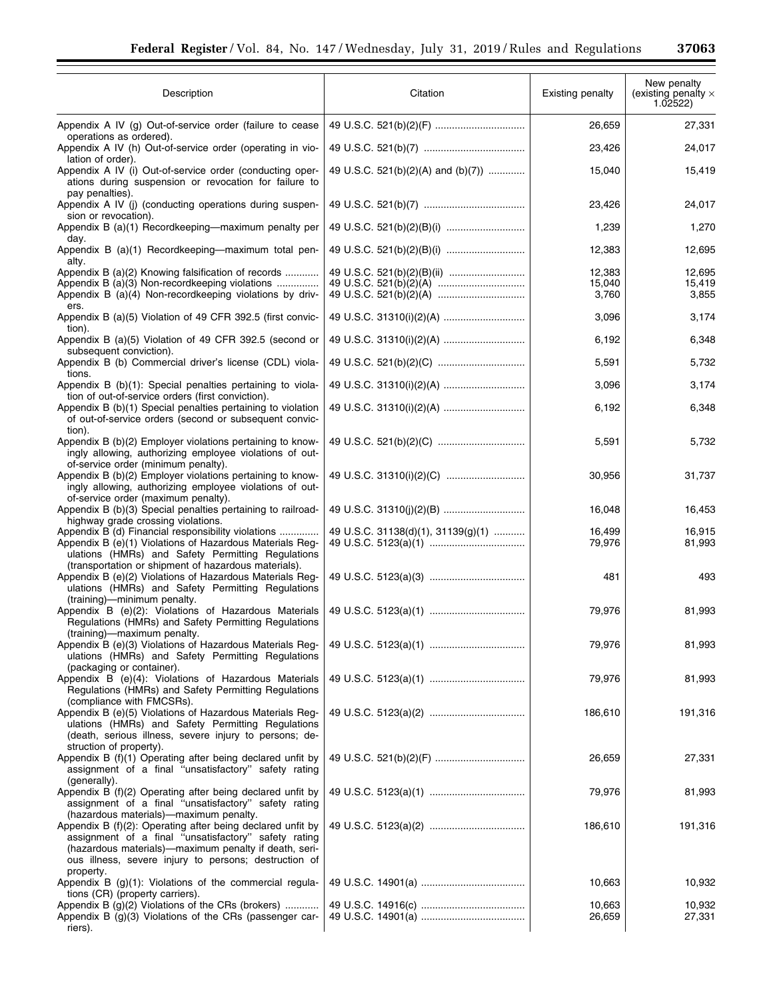| Description                                                                                                                                                                                                                                                                       | Citation                           | Existing penalty | New penalty<br>(existing penalty $\times$<br>$1.\overline{0}2522)$ |
|-----------------------------------------------------------------------------------------------------------------------------------------------------------------------------------------------------------------------------------------------------------------------------------|------------------------------------|------------------|--------------------------------------------------------------------|
| Appendix A IV (g) Out-of-service order (failure to cease                                                                                                                                                                                                                          |                                    | 26,659           | 27,331                                                             |
| operations as ordered).<br>Appendix A IV (h) Out-of-service order (operating in vio-<br>lation of order).                                                                                                                                                                         |                                    | 23,426           | 24,017                                                             |
| Appendix A IV (i) Out-of-service order (conducting oper-<br>ations during suspension or revocation for failure to                                                                                                                                                                 | 49 U.S.C. 521(b)(2)(A) and (b)(7)) | 15,040           | 15,419                                                             |
| pay penalties).<br>Appendix A IV (j) (conducting operations during suspen-<br>sion or revocation).                                                                                                                                                                                |                                    | 23,426           | 24,017                                                             |
| Appendix B (a)(1) Recordkeeping-maximum penalty per<br>day.                                                                                                                                                                                                                       |                                    | 1,239            | 1,270                                                              |
| Appendix B (a)(1) Recordkeeping-maximum total pen-<br>alty.                                                                                                                                                                                                                       |                                    | 12,383           | 12,695                                                             |
| Appendix B (a)(2) Knowing falsification of records                                                                                                                                                                                                                                |                                    | 12,383           | 12,695                                                             |
| Appendix B (a)(3) Non-recordkeeping violations<br>Appendix B (a)(4) Non-recordkeeping violations by driv-                                                                                                                                                                         |                                    | 15,040<br>3,760  | 15,419<br>3,855                                                    |
| ers.<br>Appendix B (a)(5) Violation of 49 CFR 392.5 (first convic-<br>tion).                                                                                                                                                                                                      |                                    | 3,096            | 3,174                                                              |
| Appendix B (a)(5) Violation of 49 CFR 392.5 (second or<br>subsequent conviction).                                                                                                                                                                                                 |                                    | 6,192            | 6,348                                                              |
| Appendix B (b) Commercial driver's license (CDL) viola-<br>tions.                                                                                                                                                                                                                 |                                    | 5,591            | 5,732                                                              |
| Appendix B (b)(1): Special penalties pertaining to viola-<br>tion of out-of-service orders (first conviction).                                                                                                                                                                    |                                    | 3,096            | 3,174                                                              |
| Appendix B (b)(1) Special penalties pertaining to violation<br>of out-of-service orders (second or subsequent convic-<br>tion).                                                                                                                                                   |                                    | 6,192            | 6,348                                                              |
| Appendix B (b)(2) Employer violations pertaining to know-<br>ingly allowing, authorizing employee violations of out-<br>of-service order (minimum penalty).                                                                                                                       |                                    | 5,591            | 5,732                                                              |
| Appendix B (b)(2) Employer violations pertaining to know-<br>ingly allowing, authorizing employee violations of out-                                                                                                                                                              |                                    | 30,956           | 31,737                                                             |
| of-service order (maximum penalty).<br>Appendix B (b)(3) Special penalties pertaining to railroad-                                                                                                                                                                                |                                    | 16,048           | 16,453                                                             |
| highway grade crossing violations.<br>Appendix B (d) Financial responsibility violations                                                                                                                                                                                          | 49 U.S.C. 31138(d)(1), 31139(g)(1) | 16,499<br>79,976 | 16,915<br>81,993                                                   |
| Appendix B (e)(1) Violations of Hazardous Materials Reg-<br>ulations (HMRs) and Safety Permitting Regulations                                                                                                                                                                     |                                    |                  |                                                                    |
| (transportation or shipment of hazardous materials).<br>Appendix B (e)(2) Violations of Hazardous Materials Reg-<br>ulations (HMRs) and Safety Permitting Regulations                                                                                                             |                                    | 481              | 493                                                                |
| (training)-minimum penalty.<br>Appendix B (e)(2): Violations of Hazardous Materials<br>Regulations (HMRs) and Safety Permitting Regulations                                                                                                                                       |                                    | 79,976           | 81,993                                                             |
| (training)-maximum penalty.<br>Appendix B (e)(3) Violations of Hazardous Materials Reg-<br>ulations (HMRs) and Safety Permitting Regulations                                                                                                                                      |                                    | 79,976           | 81,993                                                             |
| (packaging or container).<br>Appendix B (e)(4): Violations of Hazardous Materials<br>Regulations (HMRs) and Safety Permitting Regulations                                                                                                                                         |                                    | 79,976           | 81,993                                                             |
| (compliance with FMCSRs).<br>Appendix B (e)(5) Violations of Hazardous Materials Reg-<br>ulations (HMRs) and Safety Permitting Regulations<br>(death, serious illness, severe injury to persons; de-                                                                              |                                    | 186,610          | 191,316                                                            |
| struction of property).<br>Appendix B (f)(1) Operating after being declared unfit by<br>assignment of a final "unsatisfactory" safety rating                                                                                                                                      |                                    | 26,659           | 27,331                                                             |
| (generally).<br>Appendix B (f)(2) Operating after being declared unfit by<br>assignment of a final "unsatisfactory" safety rating                                                                                                                                                 |                                    | 79,976           | 81,993                                                             |
| (hazardous materials)—maximum penalty.<br>Appendix B $(f)(2)$ : Operating after being declared unfit by<br>assignment of a final "unsatisfactory" safety rating<br>(hazardous materials)—maximum penalty if death, seri-<br>ous illness, severe injury to persons; destruction of |                                    | 186,610          | 191,316                                                            |
| property.<br>Appendix B (g)(1): Violations of the commercial regula-                                                                                                                                                                                                              |                                    | 10,663           | 10,932                                                             |
| tions (CR) (property carriers).<br>Appendix B (g)(2) Violations of the CRs (brokers)                                                                                                                                                                                              |                                    | 10,663           | 10,932                                                             |
| Appendix B (g)(3) Violations of the CRs (passenger car-<br>riers).                                                                                                                                                                                                                |                                    | 26,659           | 27,331                                                             |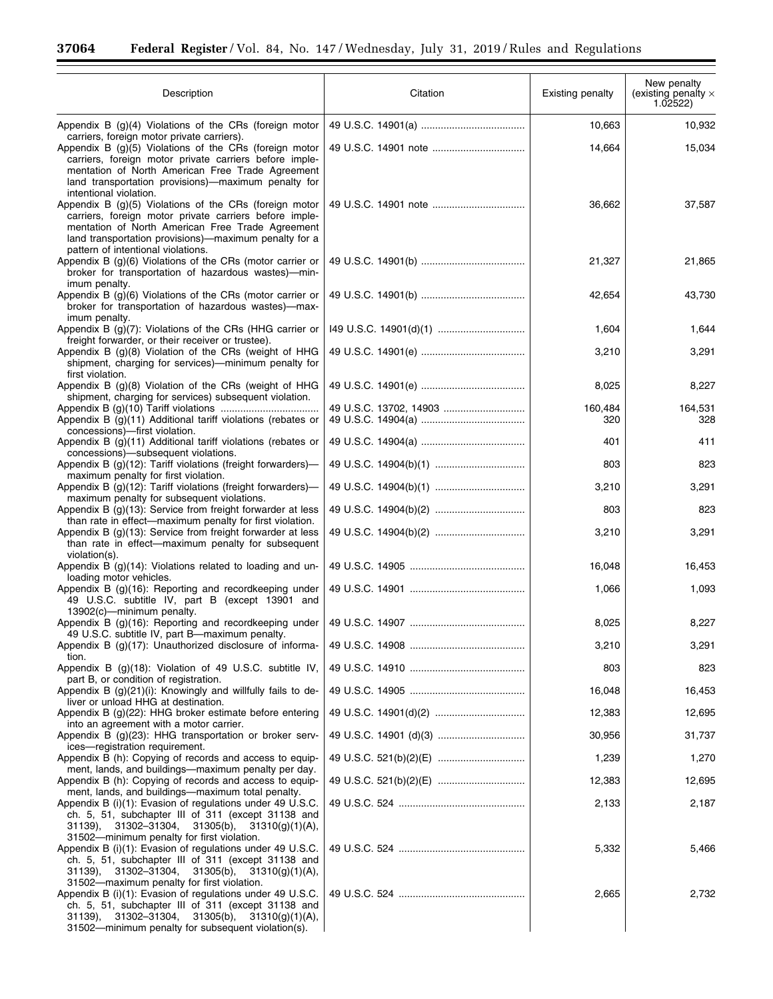Ξ

 $\equiv$ 

| Description                                                                                                                                                                                                                                                                                         | Citation | Existing penalty | New penalty<br>(existing penalty $\times$<br>1.02522) |
|-----------------------------------------------------------------------------------------------------------------------------------------------------------------------------------------------------------------------------------------------------------------------------------------------------|----------|------------------|-------------------------------------------------------|
| Appendix B $(g)(4)$ Violations of the CRs (foreign motor                                                                                                                                                                                                                                            |          | 10,663           | 10,932                                                |
| carriers, foreign motor private carriers).<br>Appendix B (g)(5) Violations of the CRs (foreign motor<br>carriers, foreign motor private carriers before imple-<br>mentation of North American Free Trade Agreement<br>land transportation provisions)—maximum penalty for<br>intentional violation. |          | 14,664           | 15,034                                                |
| Appendix B (g)(5) Violations of the CRs (foreign motor<br>carriers, foreign motor private carriers before imple-<br>mentation of North American Free Trade Agreement<br>land transportation provisions)—maximum penalty for a<br>pattern of intentional violations.                                 |          | 36,662           | 37,587                                                |
| Appendix B (g)(6) Violations of the CRs (motor carrier or<br>broker for transportation of hazardous wastes)-min-<br>imum penalty.                                                                                                                                                                   |          | 21,327           | 21,865                                                |
| Appendix B $(g)(6)$ Violations of the CRs (motor carrier or<br>broker for transportation of hazardous wastes)-max-<br>imum penalty.                                                                                                                                                                 |          | 42,654           | 43,730                                                |
| Appendix B (g)(7): Violations of the CRs (HHG carrier or<br>freight forwarder, or their receiver or trustee).                                                                                                                                                                                       |          | 1,604            | 1,644                                                 |
| Appendix B (q)(8) Violation of the CRs (weight of HHG<br>shipment, charging for services)—minimum penalty for<br>first violation.                                                                                                                                                                   |          | 3,210            | 3,291                                                 |
| Appendix B (g)(8) Violation of the CRs (weight of HHG<br>shipment, charging for services) subsequent violation.                                                                                                                                                                                     |          | 8,025            | 8,227                                                 |
| Appendix B (g)(11) Additional tariff violations (rebates or<br>concessions)-first violation.                                                                                                                                                                                                        |          | 160,484<br>320   | 164,531<br>328                                        |
| Appendix B (g)(11) Additional tariff violations (rebates or<br>concessions)-subsequent violations.                                                                                                                                                                                                  |          | 401              | 411                                                   |
| Appendix B (g)(12): Tariff violations (freight forwarders)-                                                                                                                                                                                                                                         |          | 803              | 823                                                   |
| maximum penalty for first violation.<br>Appendix B (g)(12): Tariff violations (freight forwarders)-                                                                                                                                                                                                 |          | 3,210            | 3,291                                                 |
| maximum penalty for subsequent violations.<br>Appendix B (g)(13): Service from freight forwarder at less                                                                                                                                                                                            |          | 803              | 823                                                   |
| than rate in effect-maximum penalty for first violation.<br>Appendix B (g)(13): Service from freight forwarder at less<br>than rate in effect-maximum penalty for subsequent<br>violation(s).                                                                                                       |          | 3,210            | 3,291                                                 |
| Appendix B (g)(14): Violations related to loading and un-<br>loading motor vehicles.                                                                                                                                                                                                                |          | 16,048           | 16,453                                                |
| Appendix B (g)(16): Reporting and recordkeeping under<br>49 U.S.C. subtitle IV, part B (except 13901 and<br>$13902(c)$ - minimum penalty.                                                                                                                                                           |          | 1,066            | 1,093                                                 |
| Appendix B (g)(16): Reporting and recordkeeping under<br>49 U.S.C. subtitle IV, part B-maximum penalty.                                                                                                                                                                                             |          | 8,025            | 8,227                                                 |
| Appendix B $(g)(17)$ : Unauthorized disclosure of informa-<br>tion.                                                                                                                                                                                                                                 |          | 3,210            | 3,291                                                 |
| Appendix B $(g)(18)$ : Violation of 49 U.S.C. subtitle IV,<br>part B, or condition of registration.                                                                                                                                                                                                 |          | 803              | 823                                                   |
| Appendix B $(g)(21)(i)$ : Knowingly and willfully fails to de-<br>liver or unload HHG at destination.                                                                                                                                                                                               |          | 16,048           | 16,453                                                |
| Appendix B (g)(22): HHG broker estimate before entering                                                                                                                                                                                                                                             |          | 12,383           | 12,695                                                |
| into an agreement with a motor carrier.<br>Appendix B (g)(23): HHG transportation or broker serv-                                                                                                                                                                                                   |          | 30,956           | 31,737                                                |
| ices-registration requirement.<br>Appendix B (h): Copying of records and access to equip-                                                                                                                                                                                                           |          | 1,239            | 1,270                                                 |
| ment, lands, and buildings—maximum penalty per day.<br>Appendix B (h): Copying of records and access to equip-                                                                                                                                                                                      |          | 12,383           | 12,695                                                |
| ment, lands, and buildings—maximum total penalty.<br>Appendix B (i)(1): Evasion of regulations under 49 U.S.C.<br>ch. 5, 51, subchapter III of 311 (except 31138 and<br>$31139$ , $31302-31304$ , $31305(b)$ , $31310(g)(1)(A)$ ,<br>31502-minimum penalty for first violation.                     |          | 2,133            | 2,187                                                 |
| Appendix B (i)(1): Evasion of regulations under 49 U.S.C.<br>ch. 5, 51, subchapter III of 311 (except 31138 and<br>31139), 31302-31304, 31305(b), 31310(g)(1)(A),<br>31502-maximum penalty for first violation.                                                                                     |          | 5,332            | 5,466                                                 |
| Appendix B (i)(1): Evasion of regulations under 49 U.S.C.<br>ch. 5, 51, subchapter III of 311 (except 31138 and<br>$31139$ , $31302-31304$ , $31305(b)$ , $31310(g)(1)(A)$ ,<br>31502-minimum penalty for subsequent violation(s).                                                                  |          | 2,665            | 2,732                                                 |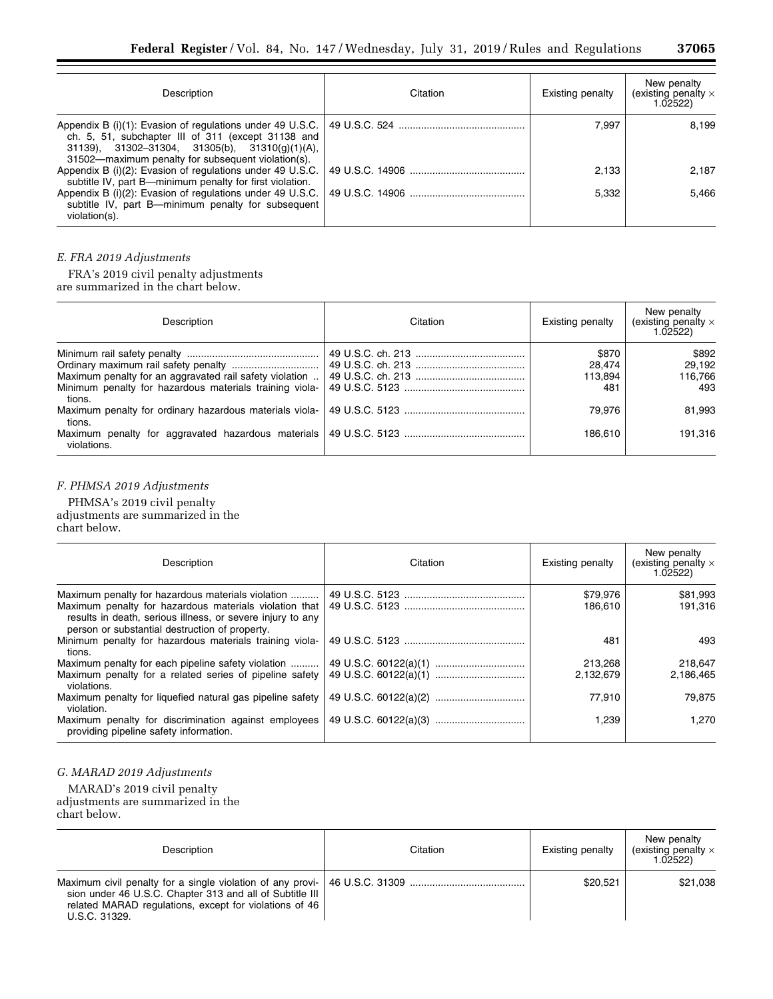| Description                                                                                                                                                                                                                        | Citation | Existing penalty | New penalty<br>(existing penalty $\times$<br>1.02522 |
|------------------------------------------------------------------------------------------------------------------------------------------------------------------------------------------------------------------------------------|----------|------------------|------------------------------------------------------|
| Appendix B (i)(1): Evasion of regulations under 49 U.S.C.<br>ch. 5, 51, subchapter III of 311 (except 31138 and<br>$31139$ , $31302-31304$ , $31305(b)$ , $31310(q)(1)(A)$ ,<br>31502-maximum penalty for subsequent violation(s). |          | 7.997            | 8,199                                                |
| Appendix B (i)(2): Evasion of regulations under 49 U.S.C.<br>subtitle IV, part B—minimum penalty for first violation.                                                                                                              |          | 2.133            | 2.187                                                |
| Appendix B (i)(2): Evasion of regulations under 49 U.S.C.<br>subtitle IV, part B—minimum penalty for subsequent<br>violation(s).                                                                                                   |          | 5.332            | 5.466                                                |

# *E. FRA 2019 Adjustments*

FRA's 2019 civil penalty adjustments are summarized in the chart below.

| Description                                                       | Citation | <b>Existing penalty</b> | New penalty<br>(existing penalty $\times$<br>1.02522) |
|-------------------------------------------------------------------|----------|-------------------------|-------------------------------------------------------|
|                                                                   |          | \$870                   | \$892                                                 |
|                                                                   |          | 28,474                  | 29.192                                                |
| Maximum penalty for an aggravated rail safety violation           |          | 113,894                 | 116.766                                               |
| Minimum penalty for hazardous materials training viola-<br>tions. |          | 481                     | 493                                                   |
| Maximum penalty for ordinary hazardous materials viola-<br>tions. |          | 79,976                  | 81,993                                                |
| Maximum penalty for aggravated hazardous materials<br>violations. |          | 186.610                 | 191,316                                               |

# *F. PHMSA 2019 Adjustments*

PHMSA's 2019 civil penalty adjustments are summarized in the chart below.

| Description                                                                                                                                                                                                                 | Citation | Existing penalty    | New penalty<br>(existing penalty $\times$<br>1.02522) |
|-----------------------------------------------------------------------------------------------------------------------------------------------------------------------------------------------------------------------------|----------|---------------------|-------------------------------------------------------|
| Maximum penalty for hazardous materials violation<br>Maximum penalty for hazardous materials violation that<br>results in death, serious illness, or severe injury to any<br>person or substantial destruction of property. |          | \$79,976<br>186.610 | \$81,993<br>191.316                                   |
| Minimum penalty for hazardous materials training viola-<br>tions.                                                                                                                                                           |          | 481                 | 493                                                   |
| Maximum penalty for each pipeline safety violation                                                                                                                                                                          |          | 213,268             | 218,647                                               |
| Maximum penalty for a related series of pipeline safety<br>violations.                                                                                                                                                      |          | 2,132,679           | 2,186,465                                             |
| Maximum penalty for liquefied natural gas pipeline safety<br>violation.                                                                                                                                                     |          | 77,910              | 79.875                                                |
| Maximum penalty for discrimination against employees<br>providing pipeline safety information.                                                                                                                              |          | 1,239               | 1.270                                                 |

# *G. MARAD 2019 Adjustments*

MARAD's 2019 civil penalty adjustments are summarized in the chart below.

| Description                                                                                                                                                                                                       | Citation | Existing penalty | New penalty<br>(existing penalty $\times$<br>1.02522 |
|-------------------------------------------------------------------------------------------------------------------------------------------------------------------------------------------------------------------|----------|------------------|------------------------------------------------------|
| Maximum civil penalty for a single violation of any provi- 46 U.S.C. 31309<br>sion under 46 U.S.C. Chapter 313 and all of Subtitle III<br>related MARAD regulations, except for violations of 46<br>U.S.C. 31329. |          | \$20.521         | \$21.038                                             |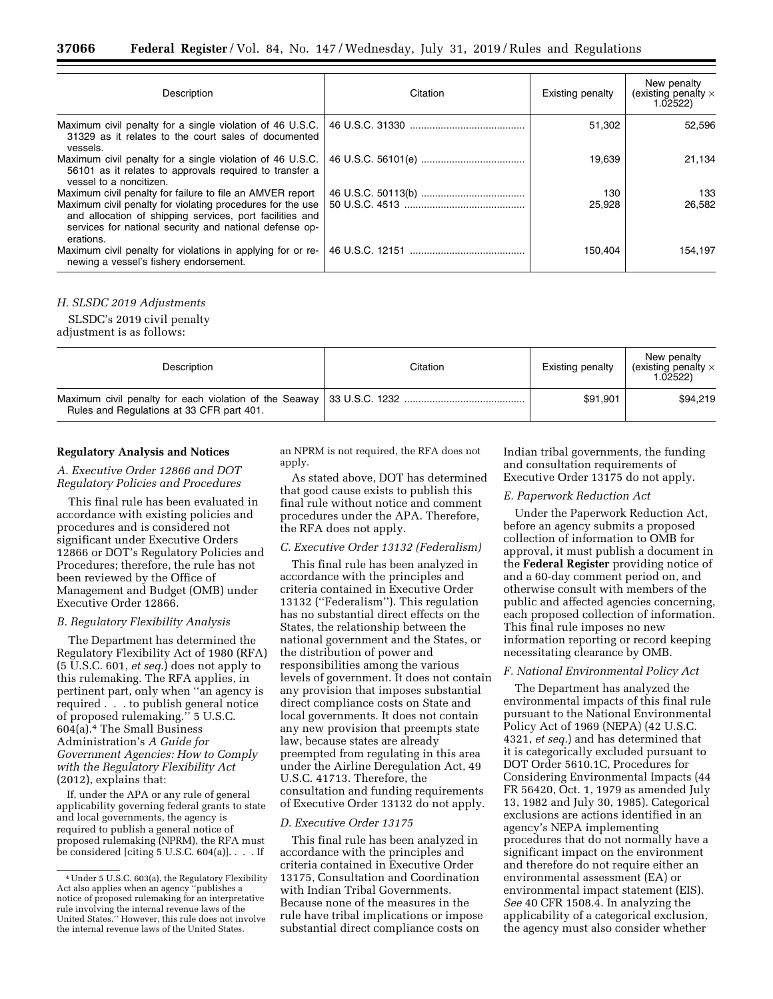| Description                                                                                                                                                                                                                                                 | Citation | Existing penalty | New penalty<br>(existing penalty $\times$<br>1.02522) |
|-------------------------------------------------------------------------------------------------------------------------------------------------------------------------------------------------------------------------------------------------------------|----------|------------------|-------------------------------------------------------|
| Maximum civil penalty for a single violation of 46 U.S.C.<br>31329 as it relates to the court sales of documented<br>vessels.                                                                                                                               |          | 51,302           | 52.596                                                |
| Maximum civil penalty for a single violation of 46 U.S.C.<br>56101 as it relates to approvals required to transfer a<br>vessel to a noncitizen.                                                                                                             |          | 19,639           | 21.134                                                |
| Maximum civil penalty for failure to file an AMVER report<br>Maximum civil penalty for violating procedures for the use<br>and allocation of shipping services, port facilities and<br>services for national security and national defense op-<br>erations. |          | 130<br>25,928    | 133<br>26.582                                         |
| Maximum civil penalty for violations in applying for or re-<br>newing a vessel's fishery endorsement.                                                                                                                                                       |          | 150.404          | 154.197                                               |

#### *H. SLSDC 2019 Adjustments*

SLSDC's 2019 civil penalty

adjustment is as follows:

| Description                               | Citation | Existing penalty | New penalty<br>(existing penalty $\times$<br>1.02522) |
|-------------------------------------------|----------|------------------|-------------------------------------------------------|
| Rules and Regulations at 33 CFR part 401. |          | \$91,901         | \$94,219                                              |

#### **Regulatory Analysis and Notices**

#### *A. Executive Order 12866 and DOT Regulatory Policies and Procedures*

This final rule has been evaluated in accordance with existing policies and procedures and is considered not significant under Executive Orders 12866 or DOT's Regulatory Policies and Procedures; therefore, the rule has not been reviewed by the Office of Management and Budget (OMB) under Executive Order 12866.

#### *B. Regulatory Flexibility Analysis*

The Department has determined the Regulatory Flexibility Act of 1980 (RFA) (5 U.S.C. 601, *et seq.*) does not apply to this rulemaking. The RFA applies, in pertinent part, only when ''an agency is required . . . to publish general notice of proposed rulemaking.'' 5 U.S.C. 604(a).4 The Small Business Administration's *A Guide for Government Agencies: How to Comply with the Regulatory Flexibility Act*  (2012), explains that:

If, under the APA or any rule of general applicability governing federal grants to state and local governments, the agency is required to publish a general notice of proposed rulemaking (NPRM), the RFA must be considered [citing  $5$  U.S.C.  $604(a)$ ]. . . . If

an NPRM is not required, the RFA does not apply.

As stated above, DOT has determined that good cause exists to publish this final rule without notice and comment procedures under the APA. Therefore, the RFA does not apply.

#### *C. Executive Order 13132 (Federalism)*

This final rule has been analyzed in accordance with the principles and criteria contained in Executive Order 13132 (''Federalism''). This regulation has no substantial direct effects on the States, the relationship between the national government and the States, or the distribution of power and responsibilities among the various levels of government. It does not contain any provision that imposes substantial direct compliance costs on State and local governments. It does not contain any new provision that preempts state law, because states are already preempted from regulating in this area under the Airline Deregulation Act, 49 U.S.C. 41713. Therefore, the consultation and funding requirements of Executive Order 13132 do not apply.

#### *D. Executive Order 13175*

This final rule has been analyzed in accordance with the principles and criteria contained in Executive Order 13175, Consultation and Coordination with Indian Tribal Governments. Because none of the measures in the rule have tribal implications or impose substantial direct compliance costs on

Indian tribal governments, the funding and consultation requirements of Executive Order 13175 do not apply.

#### *E. Paperwork Reduction Act*

Under the Paperwork Reduction Act, before an agency submits a proposed collection of information to OMB for approval, it must publish a document in the **Federal Register** providing notice of and a 60-day comment period on, and otherwise consult with members of the public and affected agencies concerning, each proposed collection of information. This final rule imposes no new information reporting or record keeping necessitating clearance by OMB.

#### *F. National Environmental Policy Act*

The Department has analyzed the environmental impacts of this final rule pursuant to the National Environmental Policy Act of 1969 (NEPA) (42 U.S.C. 4321, *et seq.*) and has determined that it is categorically excluded pursuant to DOT Order 5610.1C, Procedures for Considering Environmental Impacts (44 FR 56420, Oct. 1, 1979 as amended July 13, 1982 and July 30, 1985). Categorical exclusions are actions identified in an agency's NEPA implementing procedures that do not normally have a significant impact on the environment and therefore do not require either an environmental assessment (EA) or environmental impact statement (EIS). *See* 40 CFR 1508.4. In analyzing the applicability of a categorical exclusion, the agency must also consider whether

<sup>4</sup>Under 5 U.S.C. 603(a), the Regulatory Flexibility Act also applies when an agency ''publishes a notice of proposed rulemaking for an interpretative rule involving the internal revenue laws of the United States.'' However, this rule does not involve the internal revenue laws of the United States.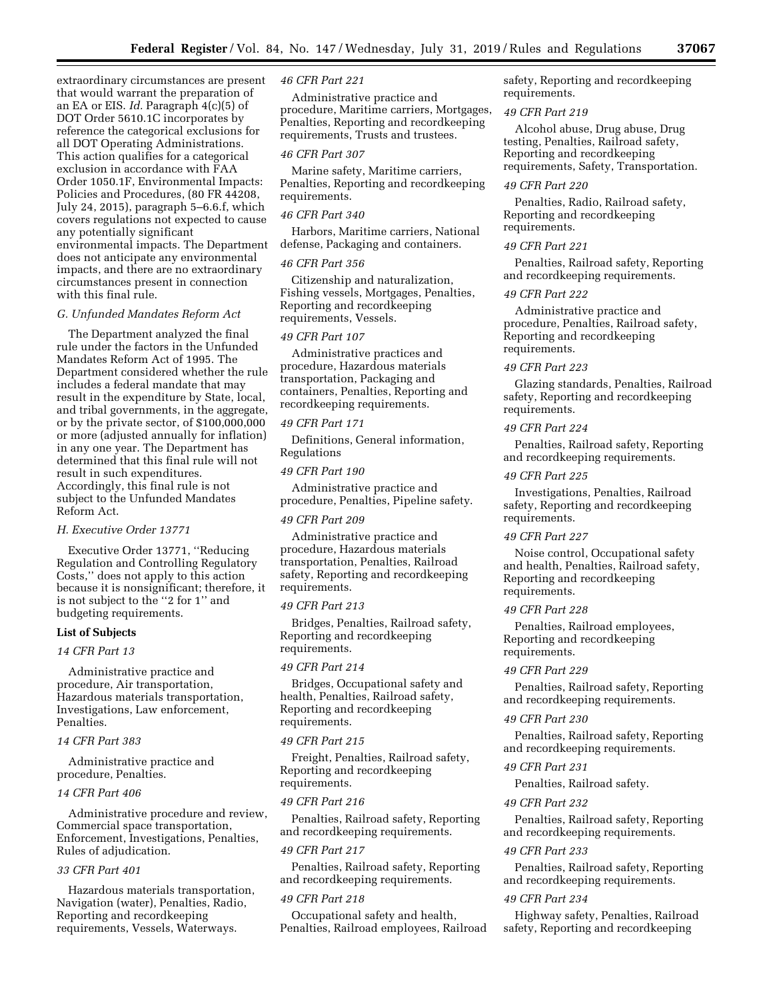extraordinary circumstances are present that would warrant the preparation of an EA or EIS. *Id.* Paragraph 4(c)(5) of DOT Order 5610.1C incorporates by reference the categorical exclusions for all DOT Operating Administrations. This action qualifies for a categorical exclusion in accordance with FAA Order 1050.1F, Environmental Impacts: Policies and Procedures, (80 FR 44208, July 24, 2015), paragraph 5–6.6.f, which covers regulations not expected to cause any potentially significant environmental impacts. The Department does not anticipate any environmental impacts, and there are no extraordinary circumstances present in connection with this final rule.

#### *G. Unfunded Mandates Reform Act*

The Department analyzed the final rule under the factors in the Unfunded Mandates Reform Act of 1995. The Department considered whether the rule includes a federal mandate that may result in the expenditure by State, local, and tribal governments, in the aggregate, or by the private sector, of \$100,000,000 or more (adjusted annually for inflation) in any one year. The Department has determined that this final rule will not result in such expenditures. Accordingly, this final rule is not subject to the Unfunded Mandates Reform Act.

#### *H. Executive Order 13771*

Executive Order 13771, ''Reducing Regulation and Controlling Regulatory Costs,'' does not apply to this action because it is nonsignificant; therefore, it is not subject to the ''2 for 1'' and budgeting requirements.

#### **List of Subjects**

#### *14 CFR Part 13*

Administrative practice and procedure, Air transportation, Hazardous materials transportation, Investigations, Law enforcement, Penalties.

### *14 CFR Part 383*

Administrative practice and procedure, Penalties.

### *14 CFR Part 406*

Administrative procedure and review, Commercial space transportation, Enforcement, Investigations, Penalties, Rules of adjudication.

### *33 CFR Part 401*

Hazardous materials transportation, Navigation (water), Penalties, Radio, Reporting and recordkeeping requirements, Vessels, Waterways.

#### *46 CFR Part 221*

Administrative practice and procedure, Maritime carriers, Mortgages, Penalties, Reporting and recordkeeping requirements, Trusts and trustees.

#### *46 CFR Part 307*

Marine safety, Maritime carriers, Penalties, Reporting and recordkeeping requirements.

### *46 CFR Part 340*

Harbors, Maritime carriers, National defense, Packaging and containers.

#### *46 CFR Part 356*

Citizenship and naturalization, Fishing vessels, Mortgages, Penalties, Reporting and recordkeeping requirements, Vessels.

#### *49 CFR Part 107*

Administrative practices and procedure, Hazardous materials transportation, Packaging and containers, Penalties, Reporting and recordkeeping requirements.

### *49 CFR Part 171*

Definitions, General information, Regulations

#### *49 CFR Part 190*

Administrative practice and procedure, Penalties, Pipeline safety.

#### *49 CFR Part 209*

Administrative practice and procedure, Hazardous materials transportation, Penalties, Railroad safety, Reporting and recordkeeping requirements.

#### *49 CFR Part 213*

Bridges, Penalties, Railroad safety, Reporting and recordkeeping requirements.

#### *49 CFR Part 214*

Bridges, Occupational safety and health, Penalties, Railroad safety, Reporting and recordkeeping requirements.

#### *49 CFR Part 215*

Freight, Penalties, Railroad safety, Reporting and recordkeeping requirements.

#### *49 CFR Part 216*

Penalties, Railroad safety, Reporting and recordkeeping requirements.

#### *49 CFR Part 217*

Penalties, Railroad safety, Reporting and recordkeeping requirements.

#### *49 CFR Part 218*

Occupational safety and health, Penalties, Railroad employees, Railroad safety, Reporting and recordkeeping requirements.

#### *49 CFR Part 219*

Alcohol abuse, Drug abuse, Drug testing, Penalties, Railroad safety, Reporting and recordkeeping requirements, Safety, Transportation.

### *49 CFR Part 220*

Penalties, Radio, Railroad safety, Reporting and recordkeeping requirements.

#### *49 CFR Part 221*

Penalties, Railroad safety, Reporting and recordkeeping requirements.

#### *49 CFR Part 222*

Administrative practice and procedure, Penalties, Railroad safety, Reporting and recordkeeping requirements.

#### *49 CFR Part 223*

Glazing standards, Penalties, Railroad safety, Reporting and recordkeeping requirements.

#### *49 CFR Part 224*

Penalties, Railroad safety, Reporting and recordkeeping requirements.

#### *49 CFR Part 225*

Investigations, Penalties, Railroad safety, Reporting and recordkeeping requirements.

#### *49 CFR Part 227*

Noise control, Occupational safety and health, Penalties, Railroad safety, Reporting and recordkeeping requirements.

#### *49 CFR Part 228*

Penalties, Railroad employees, Reporting and recordkeeping requirements.

#### *49 CFR Part 229*

Penalties, Railroad safety, Reporting and recordkeeping requirements.

#### *49 CFR Part 230*

Penalties, Railroad safety, Reporting and recordkeeping requirements.

### *49 CFR Part 231*

Penalties, Railroad safety.

#### *49 CFR Part 232*

Penalties, Railroad safety, Reporting and recordkeeping requirements.

#### *49 CFR Part 233*

Penalties, Railroad safety, Reporting and recordkeeping requirements.

#### *49 CFR Part 234*

Highway safety, Penalties, Railroad safety, Reporting and recordkeeping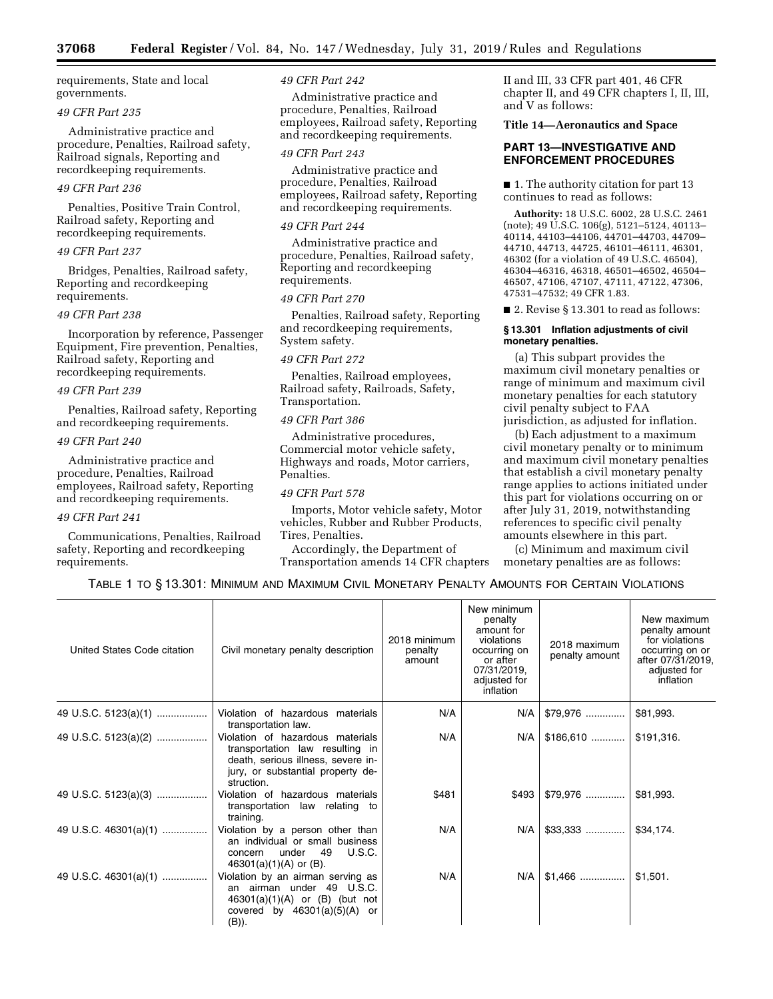requirements, State and local governments.

#### *49 CFR Part 235*

Administrative practice and procedure, Penalties, Railroad safety, Railroad signals, Reporting and recordkeeping requirements.

### *49 CFR Part 236*

Penalties, Positive Train Control, Railroad safety, Reporting and recordkeeping requirements.

#### *49 CFR Part 237*

Bridges, Penalties, Railroad safety, Reporting and recordkeeping requirements.

#### *49 CFR Part 238*

Incorporation by reference, Passenger Equipment, Fire prevention, Penalties, Railroad safety, Reporting and recordkeeping requirements.

### *49 CFR Part 239*

Penalties, Railroad safety, Reporting and recordkeeping requirements.

#### *49 CFR Part 240*

Administrative practice and procedure, Penalties, Railroad employees, Railroad safety, Reporting and recordkeeping requirements.

#### *49 CFR Part 241*

Communications, Penalties, Railroad safety, Reporting and recordkeeping requirements.

#### *49 CFR Part 242*

Administrative practice and procedure, Penalties, Railroad employees, Railroad safety, Reporting and recordkeeping requirements.

### *49 CFR Part 243*

Administrative practice and procedure, Penalties, Railroad employees, Railroad safety, Reporting and recordkeeping requirements.

#### *49 CFR Part 244*

Administrative practice and procedure, Penalties, Railroad safety, Reporting and recordkeeping requirements.

#### *49 CFR Part 270*

Penalties, Railroad safety, Reporting and recordkeeping requirements, System safety.

#### *49 CFR Part 272*

Penalties, Railroad employees, Railroad safety, Railroads, Safety, Transportation.

#### *49 CFR Part 386*

Administrative procedures, Commercial motor vehicle safety, Highways and roads, Motor carriers, Penalties.

### *49 CFR Part 578*

Imports, Motor vehicle safety, Motor vehicles, Rubber and Rubber Products, Tires, Penalties.

Accordingly, the Department of Transportation amends 14 CFR chapters II and III, 33 CFR part 401, 46 CFR chapter II, and 49 CFR chapters I, II, III, and V as follows:

#### **Title 14—Aeronautics and Space**

### **PART 13—INVESTIGATIVE AND ENFORCEMENT PROCEDURES**

■ 1. The authority citation for part 13 continues to read as follows:

**Authority:** 18 U.S.C. 6002, 28 U.S.C. 2461 (note); 49 U.S.C. 106(g), 5121–5124, 40113– 40114, 44103–44106, 44701–44703, 44709– 44710, 44713, 44725, 46101–46111, 46301, 46302 (for a violation of 49 U.S.C. 46504), 46304–46316, 46318, 46501–46502, 46504– 46507, 47106, 47107, 47111, 47122, 47306, 47531–47532; 49 CFR 1.83.

■ 2. Revise § 13.301 to read as follows:

### **§ 13.301 Inflation adjustments of civil monetary penalties.**

(a) This subpart provides the maximum civil monetary penalties or range of minimum and maximum civil monetary penalties for each statutory civil penalty subject to FAA jurisdiction, as adjusted for inflation.

(b) Each adjustment to a maximum civil monetary penalty or to minimum and maximum civil monetary penalties that establish a civil monetary penalty range applies to actions initiated under this part for violations occurring on or after July 31, 2019, notwithstanding references to specific civil penalty amounts elsewhere in this part.

(c) Minimum and maximum civil monetary penalties are as follows:

TABLE 1 TO § 13.301: MINIMUM AND MAXIMUM CIVIL MONETARY PENALTY AMOUNTS FOR CERTAIN VIOLATIONS

| United States Code citation | Civil monetary penalty description                                                                                                                           | 2018 minimum<br>penalty<br>amount | New minimum<br>penalty<br>amount for<br>violations<br>occurring on<br>or after<br>07/31/2019,<br>adjusted for<br>inflation | 2018 maximum<br>penalty amount | New maximum<br>penalty amount<br>for violations<br>occurring on or<br>after 07/31/2019,<br>adjusted for<br>inflation |
|-----------------------------|--------------------------------------------------------------------------------------------------------------------------------------------------------------|-----------------------------------|----------------------------------------------------------------------------------------------------------------------------|--------------------------------|----------------------------------------------------------------------------------------------------------------------|
| 49 U.S.C. 5123(a)(1)        | Violation of hazardous materials<br>transportation law.                                                                                                      | N/A                               | N/A                                                                                                                        | $$79.976$                      | \$81,993.                                                                                                            |
| 49 U.S.C. 5123(a)(2)        | Violation of hazardous materials<br>transportation law resulting in<br>death, serious illness, severe in-<br>jury, or substantial property de-<br>struction. | N/A                               | N/A                                                                                                                        | $$186,610$                     | \$191,316.                                                                                                           |
| 49 U.S.C. 5123(a)(3)        | Violation of hazardous materials<br>transportation law relating to<br>training.                                                                              | \$481                             | \$493                                                                                                                      |                                | \$81,993.                                                                                                            |
| 49 U.S.C. 46301(a)(1)       | Violation by a person other than<br>an individual or small business<br><b>U.S.C.</b><br>under 49<br>concern<br>$46301(a)(1)(A)$ or (B).                      | N/A                               | N/A                                                                                                                        |                                | \$34,174.                                                                                                            |
| 49 U.S.C. 46301(a)(1)       | Violation by an airman serving as<br>an airman under 49 U.S.C.<br>$46301(a)(1)(A)$ or $(B)$ (but not<br>covered by $46301(a)(5)(A)$ or<br>(B)).              | N/A                               | N/A                                                                                                                        | $$1,466$                       | \$1,501.                                                                                                             |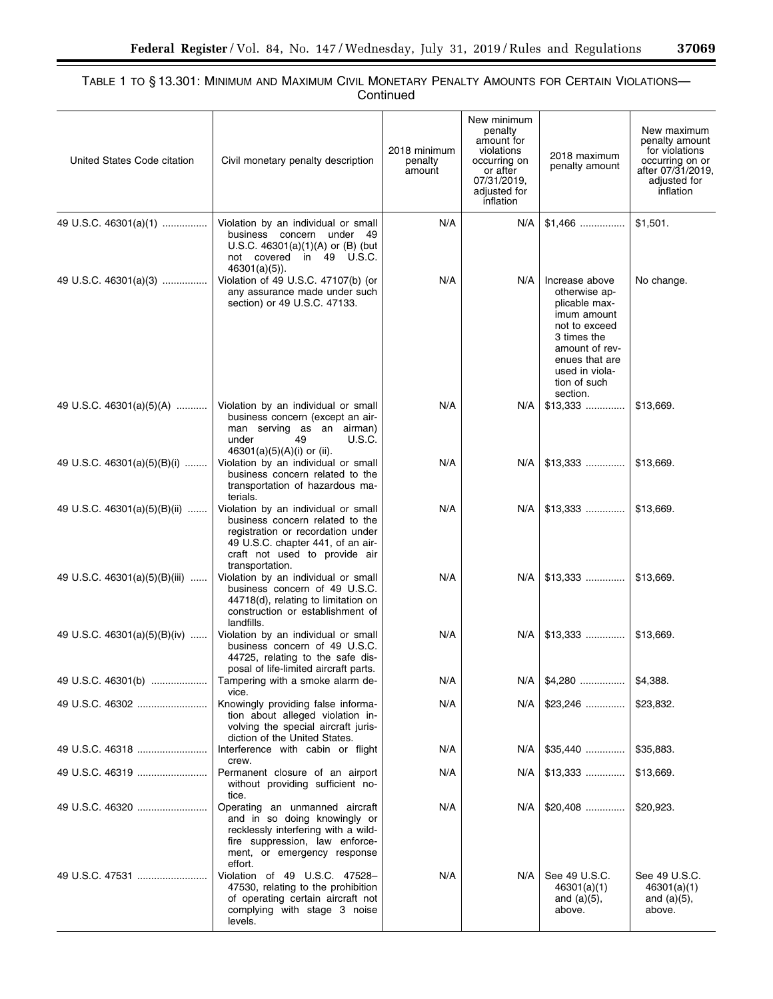### TABLE 1 TO § 13.301: MINIMUM AND MAXIMUM CIVIL MONETARY PENALTY AMOUNTS FOR CERTAIN VIOLATIONS— Continued

| United States Code citation   | Civil monetary penalty description                                                                                                                                                                   | 2018 minimum<br>penalty<br>amount | New minimum<br>penalty<br>amount for<br>violations<br>occurring on<br>or after<br>07/31/2019,<br>adjusted for<br>inflation | 2018 maximum<br>penalty amount                                                                                                                                                    | New maximum<br>penalty amount<br>for violations<br>occurring on or<br>after 07/31/2019,<br>adjusted for<br>inflation |
|-------------------------------|------------------------------------------------------------------------------------------------------------------------------------------------------------------------------------------------------|-----------------------------------|----------------------------------------------------------------------------------------------------------------------------|-----------------------------------------------------------------------------------------------------------------------------------------------------------------------------------|----------------------------------------------------------------------------------------------------------------------|
| 49 U.S.C. 46301(a)(1)         | Violation by an individual or small<br>business concern under 49<br>U.S.C. $46301(a)(1)(A)$ or (B) (but<br>not covered in 49 U.S.C.<br>$46301(a)(5)$ ).                                              | N/A                               | N/A                                                                                                                        | $$1,466$                                                                                                                                                                          | \$1,501.                                                                                                             |
| 49 U.S.C. 46301(a)(3)         | Violation of 49 U.S.C. 47107(b) (or<br>any assurance made under such<br>section) or 49 U.S.C. 47133.                                                                                                 | N/A                               | N/A                                                                                                                        | Increase above<br>otherwise ap-<br>plicable max-<br>imum amount<br>not to exceed<br>3 times the<br>amount of rev-<br>enues that are<br>used in viola-<br>tion of such<br>section. | No change.                                                                                                           |
| 49 U.S.C. 46301(a)(5)(A)      | Violation by an individual or small<br>business concern (except an air-<br>man serving as an airman)<br><b>U.S.C.</b><br>under<br>49<br>46301(a)(5)(A)(i) or (ii).                                   | N/A                               | N/A                                                                                                                        | $$13,333$                                                                                                                                                                         | \$13,669.                                                                                                            |
| 49 U.S.C. 46301(a)(5)(B)(i)   | Violation by an individual or small<br>business concern related to the<br>transportation of hazardous ma-<br>terials.                                                                                | N/A                               | N/A                                                                                                                        | $$13,333$                                                                                                                                                                         | \$13,669.                                                                                                            |
| 49 U.S.C. 46301(a)(5)(B)(ii)  | Violation by an individual or small<br>business concern related to the<br>registration or recordation under<br>49 U.S.C. chapter 441, of an air-<br>craft not used to provide air<br>transportation. | N/A                               | N/A                                                                                                                        | $$13,333$                                                                                                                                                                         | \$13,669.                                                                                                            |
| 49 U.S.C. 46301(a)(5)(B)(iii) | Violation by an individual or small<br>business concern of 49 U.S.C.<br>44718(d), relating to limitation on<br>construction or establishment of<br>landfills.                                        | N/A                               | N/A                                                                                                                        | $$13,333$                                                                                                                                                                         | \$13,669.                                                                                                            |
| 49 U.S.C. 46301(a)(5)(B)(iv)  | Violation by an individual or small<br>business concern of 49 U.S.C.<br>44725, relating to the safe dis-<br>posal of life-limited aircraft parts.                                                    | N/A                               | N/A                                                                                                                        | $$13,333$                                                                                                                                                                         | \$13,669.                                                                                                            |
| 49 U.S.C. 46301(b)            | Tampering with a smoke alarm de-<br>vice.                                                                                                                                                            | N/A                               | N/A                                                                                                                        | $$4,280$                                                                                                                                                                          | \$4,388.                                                                                                             |
|                               | Knowingly providing false informa-<br>tion about alleged violation in-<br>volving the special aircraft juris-<br>diction of the United States.                                                       | N/A                               | N/A                                                                                                                        | $$23,246$                                                                                                                                                                         | \$23,832.                                                                                                            |
|                               | Interference with cabin or flight<br>crew.                                                                                                                                                           | N/A                               | N/A                                                                                                                        | $$35,440$                                                                                                                                                                         | \$35,883.                                                                                                            |
|                               | Permanent closure of an airport<br>without providing sufficient no-<br>tice.                                                                                                                         | N/A                               | N/A                                                                                                                        | $$13,333$                                                                                                                                                                         | \$13,669.                                                                                                            |
| 49 U.S.C. 46320               | Operating an unmanned aircraft<br>and in so doing knowingly or<br>recklessly interfering with a wild-<br>fire suppression, law enforce-<br>ment, or emergency response<br>effort.                    | N/A                               | N/A                                                                                                                        | $$20,408$                                                                                                                                                                         | \$20,923.                                                                                                            |
|                               | Violation of 49 U.S.C. 47528-<br>47530, relating to the prohibition<br>of operating certain aircraft not<br>complying with stage 3 noise<br>levels.                                                  | N/A                               | N/A                                                                                                                        | See 49 U.S.C.<br>46301(a)(1)<br>and $(a)(5)$ ,<br>above.                                                                                                                          | See 49 U.S.C.<br>46301(a)(1)<br>and $(a)(5)$ ,<br>above.                                                             |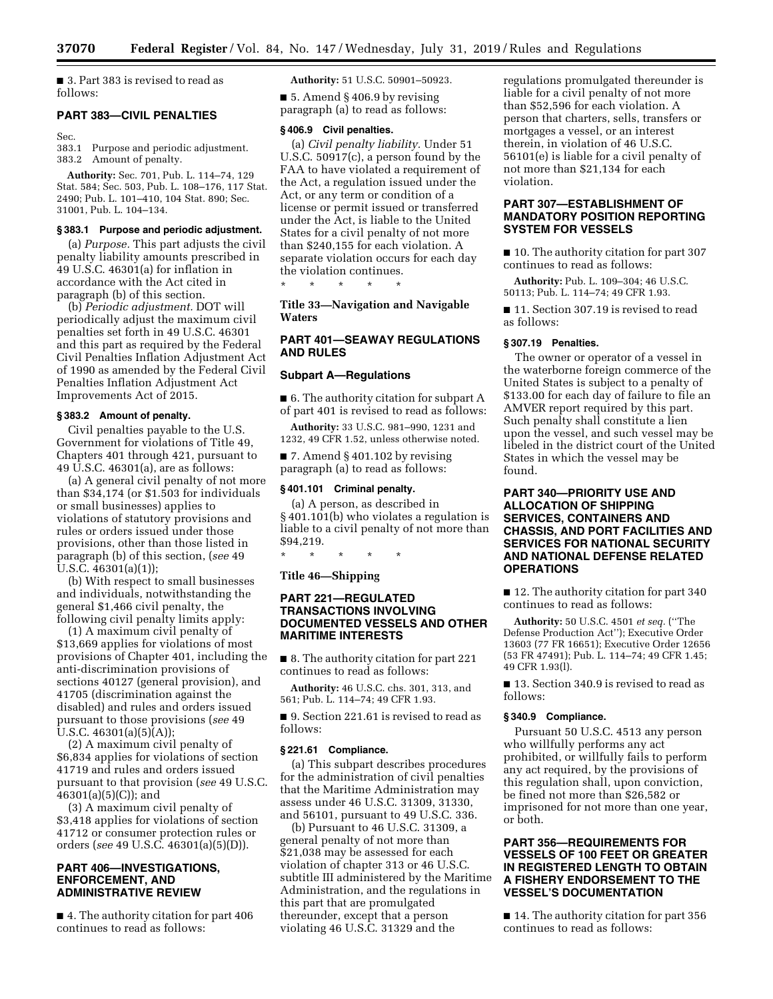■ 3. Part 383 is revised to read as follows:

#### **PART 383—CIVIL PENALTIES**

Sec.

383.1 Purpose and periodic adjustment. 383.2 Amount of penalty.

**Authority:** Sec. 701, Pub. L. 114–74, 129 Stat. 584; Sec. 503, Pub. L. 108–176, 117 Stat. 2490; Pub. L. 101–410, 104 Stat. 890; Sec. 31001, Pub. L. 104–134.

### **§ 383.1 Purpose and periodic adjustment.**

(a) *Purpose.* This part adjusts the civil penalty liability amounts prescribed in 49 U.S.C. 46301(a) for inflation in accordance with the Act cited in paragraph (b) of this section.

(b) *Periodic adjustment.* DOT will periodically adjust the maximum civil penalties set forth in 49 U.S.C. 46301 and this part as required by the Federal Civil Penalties Inflation Adjustment Act of 1990 as amended by the Federal Civil Penalties Inflation Adjustment Act Improvements Act of 2015.

### **§ 383.2 Amount of penalty.**

Civil penalties payable to the U.S. Government for violations of Title 49, Chapters 401 through 421, pursuant to 49 U.S.C. 46301(a), are as follows:

(a) A general civil penalty of not more than \$34,174 (or \$1.503 for individuals or small businesses) applies to violations of statutory provisions and rules or orders issued under those provisions, other than those listed in paragraph (b) of this section, (*see* 49 U.S.C. 46301(a)(1));

(b) With respect to small businesses and individuals, notwithstanding the general \$1,466 civil penalty, the following civil penalty limits apply:

(1) A maximum civil penalty of \$13,669 applies for violations of most provisions of Chapter 401, including the anti-discrimination provisions of sections 40127 (general provision), and 41705 (discrimination against the disabled) and rules and orders issued pursuant to those provisions (*see* 49 U.S.C.  $46301(a)(5)(A)$ ;

(2) A maximum civil penalty of \$6,834 applies for violations of section 41719 and rules and orders issued pursuant to that provision (*see* 49 U.S.C.  $46301(a)(5)(C)$ ; and

(3) A maximum civil penalty of \$3,418 applies for violations of section 41712 or consumer protection rules or orders (*see* 49 U.S.C. 46301(a)(5)(D)).

#### **PART 406—INVESTIGATIONS, ENFORCEMENT, AND ADMINISTRATIVE REVIEW**

■ 4. The authority citation for part 406 continues to read as follows:

**Authority:** 51 U.S.C. 50901–50923.

 $\blacksquare$  5. Amend § 406.9 by revising paragraph (a) to read as follows:

#### **§ 406.9 Civil penalties.**

(a) *Civil penalty liability.* Under 51 U.S.C. 50917(c), a person found by the FAA to have violated a requirement of the Act, a regulation issued under the Act, or any term or condition of a license or permit issued or transferred under the Act, is liable to the United States for a civil penalty of not more than \$240,155 for each violation. A separate violation occurs for each day the violation continues.

\* \* \* \* \*

**Title 33—Navigation and Navigable Waters** 

### **PART 401—SEAWAY REGULATIONS AND RULES**

#### **Subpart A—Regulations**

■ 6. The authority citation for subpart A of part 401 is revised to read as follows:

**Authority:** 33 U.S.C. 981–990, 1231 and 1232, 49 CFR 1.52, unless otherwise noted.

 $\blacksquare$  7. Amend § 401.102 by revising paragraph (a) to read as follows:

#### **§ 401.101 Criminal penalty.**

(a) A person, as described in § 401.101(b) who violates a regulation is liable to a civil penalty of not more than \$94,219.

\* \* \* \* \*

### **Title 46—Shipping**

### **PART 221—REGULATED TRANSACTIONS INVOLVING DOCUMENTED VESSELS AND OTHER MARITIME INTERESTS**

■ 8. The authority citation for part 221 continues to read as follows:

**Authority:** 46 U.S.C. chs. 301, 313, and 561; Pub. L. 114–74; 49 CFR 1.93.

■ 9. Section 221.61 is revised to read as follows:

#### **§ 221.61 Compliance.**

(a) This subpart describes procedures for the administration of civil penalties that the Maritime Administration may assess under 46 U.S.C. 31309, 31330, and 56101, pursuant to 49 U.S.C. 336.

(b) Pursuant to 46 U.S.C. 31309, a general penalty of not more than \$21,038 may be assessed for each violation of chapter 313 or 46 U.S.C. subtitle III administered by the Maritime Administration, and the regulations in this part that are promulgated thereunder, except that a person violating 46 U.S.C. 31329 and the

regulations promulgated thereunder is liable for a civil penalty of not more than \$52,596 for each violation. A person that charters, sells, transfers or mortgages a vessel, or an interest therein, in violation of 46 U.S.C. 56101(e) is liable for a civil penalty of not more than \$21,134 for each violation.

### **PART 307—ESTABLISHMENT OF MANDATORY POSITION REPORTING SYSTEM FOR VESSELS**

■ 10. The authority citation for part 307 continues to read as follows:

**Authority:** Pub. L. 109–304; 46 U.S.C. 50113; Pub. L. 114–74; 49 CFR 1.93.

■ 11. Section 307.19 is revised to read as follows:

#### **§ 307.19 Penalties.**

The owner or operator of a vessel in the waterborne foreign commerce of the United States is subject to a penalty of \$133.00 for each day of failure to file an AMVER report required by this part. Such penalty shall constitute a lien upon the vessel, and such vessel may be libeled in the district court of the United States in which the vessel may be found.

### **PART 340—PRIORITY USE AND ALLOCATION OF SHIPPING SERVICES, CONTAINERS AND CHASSIS, AND PORT FACILITIES AND SERVICES FOR NATIONAL SECURITY AND NATIONAL DEFENSE RELATED OPERATIONS**

■ 12. The authority citation for part 340 continues to read as follows:

**Authority:** 50 U.S.C. 4501 *et seq.* (''The Defense Production Act''); Executive Order 13603 (77 FR 16651); Executive Order 12656 (53 FR 47491); Pub. L. 114–74; 49 CFR 1.45; 49 CFR 1.93(l).

■ 13. Section 340.9 is revised to read as follows:

#### **§ 340.9 Compliance.**

Pursuant 50 U.S.C. 4513 any person who willfully performs any act prohibited, or willfully fails to perform any act required, by the provisions of this regulation shall, upon conviction, be fined not more than \$26,582 or imprisoned for not more than one year, or both.

### **PART 356—REQUIREMENTS FOR VESSELS OF 100 FEET OR GREATER IN REGISTERED LENGTH TO OBTAIN A FISHERY ENDORSEMENT TO THE VESSEL'S DOCUMENTATION**

■ 14. The authority citation for part 356 continues to read as follows: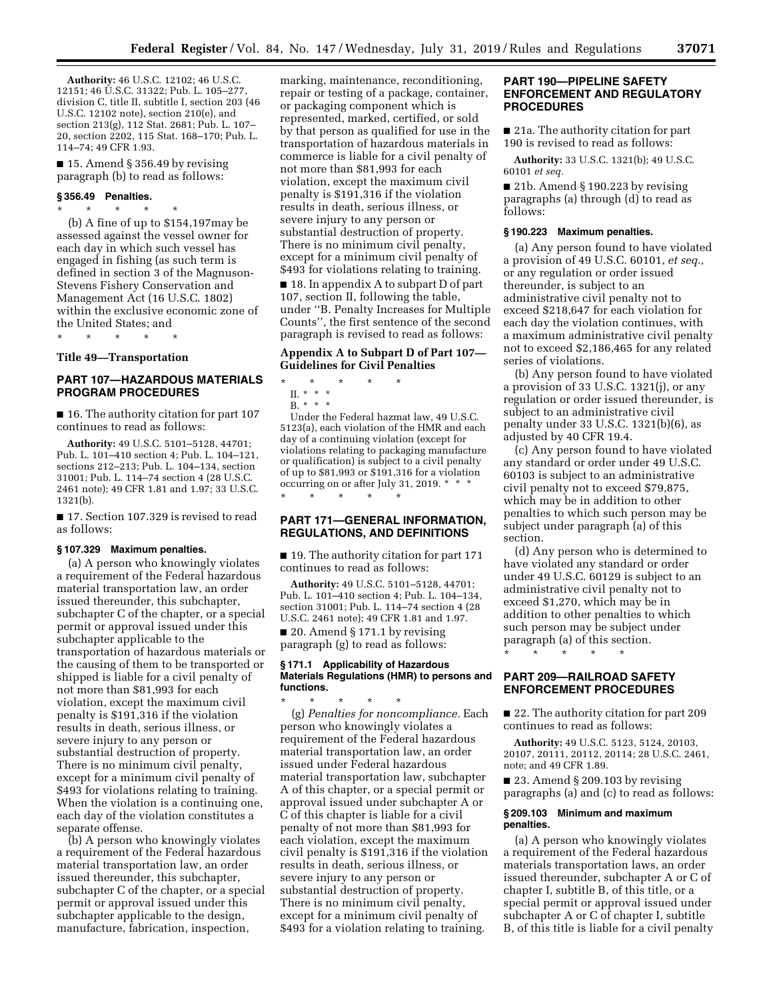**Authority:** 46 U.S.C. 12102; 46 U.S.C. 12151; 46 U.S.C. 31322; Pub. L. 105–277, division C, title II, subtitle I, section 203 (46 U.S.C. 12102 note), section 210(e), and section 213(g), 112 Stat. 2681; Pub. L. 107– 20, section 2202, 115 Stat. 168–170; Pub. L. 114–74; 49 CFR 1.93.

 $\blacksquare$  15. Amend § 356.49 by revising paragraph (b) to read as follows:

#### **§ 356.49 Penalties.**

\* \* \* \* \* (b) A fine of up to \$154,197may be assessed against the vessel owner for each day in which such vessel has engaged in fishing (as such term is defined in section 3 of the Magnuson-Stevens Fishery Conservation and Management Act (16 U.S.C. 1802) within the exclusive economic zone of the United States; and

\* \* \* \* \*

#### **Title 49—Transportation**

### **PART 107—HAZARDOUS MATERIALS PROGRAM PROCEDURES**

■ 16. The authority citation for part 107 continues to read as follows:

**Authority:** 49 U.S.C. 5101–5128, 44701; Pub. L. 101–410 section 4; Pub. L. 104–121, sections 212–213; Pub. L. 104–134, section 31001; Pub. L. 114–74 section 4 (28 U.S.C. 2461 note); 49 CFR 1.81 and 1.97; 33 U.S.C. 1321(b).

■ 17. Section 107.329 is revised to read as follows:

#### **§ 107.329 Maximum penalties.**

(a) A person who knowingly violates a requirement of the Federal hazardous material transportation law, an order issued thereunder, this subchapter, subchapter C of the chapter, or a special permit or approval issued under this subchapter applicable to the transportation of hazardous materials or the causing of them to be transported or shipped is liable for a civil penalty of not more than \$81,993 for each violation, except the maximum civil penalty is \$191,316 if the violation results in death, serious illness, or severe injury to any person or substantial destruction of property. There is no minimum civil penalty, except for a minimum civil penalty of \$493 for violations relating to training. When the violation is a continuing one, each day of the violation constitutes a separate offense.

(b) A person who knowingly violates a requirement of the Federal hazardous material transportation law, an order issued thereunder, this subchapter, subchapter C of the chapter, or a special permit or approval issued under this subchapter applicable to the design, manufacture, fabrication, inspection,

marking, maintenance, reconditioning, repair or testing of a package, container, or packaging component which is represented, marked, certified, or sold by that person as qualified for use in the transportation of hazardous materials in commerce is liable for a civil penalty of not more than \$81,993 for each violation, except the maximum civil penalty is \$191,316 if the violation results in death, serious illness, or severe injury to any person or substantial destruction of property. There is no minimum civil penalty, except for a minimum civil penalty of \$493 for violations relating to training.

■ 18. In appendix A to subpart D of part 107, section II, following the table, under ''B. Penalty Increases for Multiple Counts'', the first sentence of the second paragraph is revised to read as follows:

### **Appendix A to Subpart D of Part 107— Guidelines for Civil Penalties**

- \* \* \* \* \*
	- II. \* \* \*
- $B. * * * *$

Under the Federal hazmat law, 49 U.S.C. 5123(a), each violation of the HMR and each day of a continuing violation (except for violations relating to packaging manufacture or qualification) is subject to a civil penalty of up to \$81,993 or \$191,316 for a violation occurring on or after July 31, 2019. \* \* \* \* \* \* \* \*

### **PART 171—GENERAL INFORMATION, REGULATIONS, AND DEFINITIONS**

■ 19. The authority citation for part 171 continues to read as follows:

**Authority:** 49 U.S.C. 5101–5128, 44701; Pub. L. 101–410 section 4; Pub. L. 104–134, section 31001; Pub. L. 114–74 section 4 (28 U.S.C. 2461 note); 49 CFR 1.81 and 1.97.

■ 20. Amend § 171.1 by revising paragraph (g) to read as follows:

#### **§ 171.1 Applicability of Hazardous Materials Regulations (HMR) to persons and functions.**

\* \* \* \* \* (g) *Penalties for noncompliance.* Each person who knowingly violates a requirement of the Federal hazardous material transportation law, an order issued under Federal hazardous material transportation law, subchapter A of this chapter, or a special permit or approval issued under subchapter A or C of this chapter is liable for a civil penalty of not more than \$81,993 for each violation, except the maximum civil penalty is \$191,316 if the violation results in death, serious illness, or severe injury to any person or substantial destruction of property. There is no minimum civil penalty, except for a minimum civil penalty of \$493 for a violation relating to training.

### **PART 190—PIPELINE SAFETY ENFORCEMENT AND REGULATORY PROCEDURES**

■ 21a. The authority citation for part 190 is revised to read as follows:

**Authority:** 33 U.S.C. 1321(b); 49 U.S.C. 60101 *et seq.* 

■ 21b. Amend § 190.223 by revising paragraphs (a) through (d) to read as follows:

#### **§ 190.223 Maximum penalties.**

(a) Any person found to have violated a provision of 49 U.S.C. 60101, *et seq.,*  or any regulation or order issued thereunder, is subject to an administrative civil penalty not to exceed \$218,647 for each violation for each day the violation continues, with a maximum administrative civil penalty not to exceed \$2,186,465 for any related series of violations.

(b) Any person found to have violated a provision of 33 U.S.C. 1321(j), or any regulation or order issued thereunder, is subject to an administrative civil penalty under 33 U.S.C. 1321(b)(6), as adjusted by 40 CFR 19.4.

(c) Any person found to have violated any standard or order under 49 U.S.C. 60103 is subject to an administrative civil penalty not to exceed \$79,875, which may be in addition to other penalties to which such person may be subject under paragraph (a) of this section.

(d) Any person who is determined to have violated any standard or order under 49 U.S.C. 60129 is subject to an administrative civil penalty not to exceed \$1,270, which may be in addition to other penalties to which such person may be subject under paragraph (a) of this section.

\* \* \* \* \*

### **PART 209—RAILROAD SAFETY ENFORCEMENT PROCEDURES**

■ 22. The authority citation for part 209 continues to read as follows:

**Authority:** 49 U.S.C. 5123, 5124, 20103, 20107, 20111, 20112, 20114; 28 U.S.C. 2461, note; and 49 CFR 1.89.

■ 23. Amend § 209.103 by revising paragraphs (a) and (c) to read as follows:

#### **§ 209.103 Minimum and maximum penalties.**

(a) A person who knowingly violates a requirement of the Federal hazardous materials transportation laws, an order issued thereunder, subchapter A or C of chapter I, subtitle B, of this title, or a special permit or approval issued under subchapter A or C of chapter I, subtitle B, of this title is liable for a civil penalty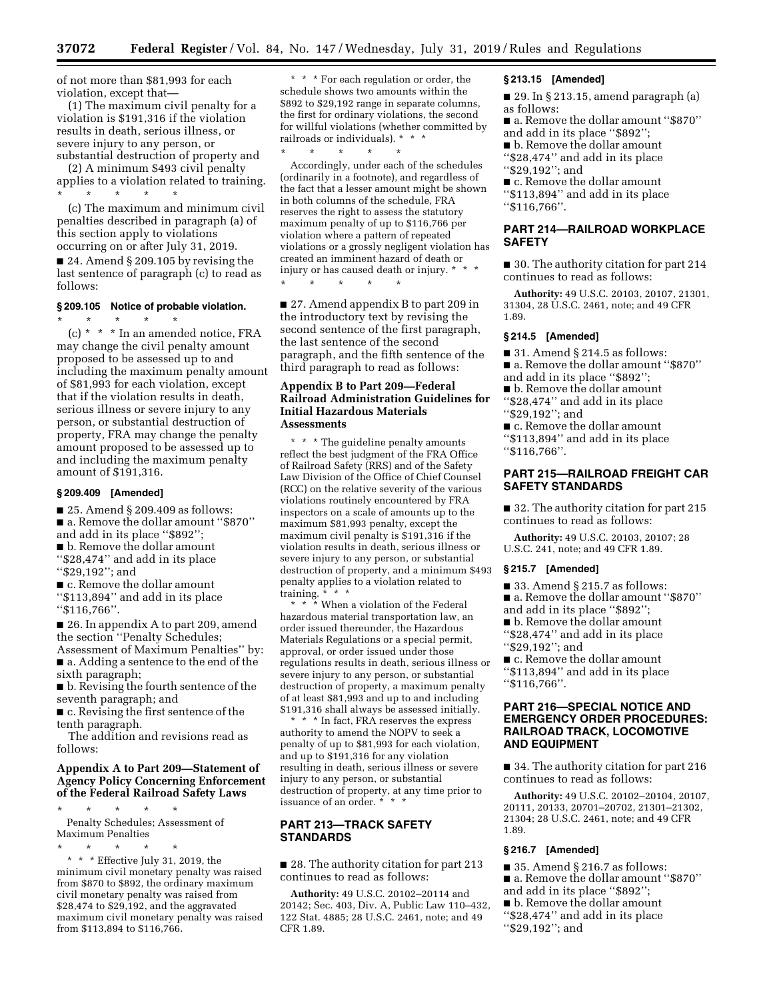of not more than \$81,993 for each violation, except that—

(1) The maximum civil penalty for a violation is \$191,316 if the violation results in death, serious illness, or severe injury to any person, or substantial destruction of property and

(2) A minimum \$493 civil penalty applies to a violation related to training. \* \* \* \* \*

(c) The maximum and minimum civil penalties described in paragraph (a) of this section apply to violations occurring on or after July 31, 2019.

■ 24. Amend § 209.105 by revising the last sentence of paragraph (c) to read as follows:

### **§ 209.105 Notice of probable violation.**

\* \* \* \* \* (c) \* \* \* In an amended notice, FRA may change the civil penalty amount proposed to be assessed up to and including the maximum penalty amount of \$81,993 for each violation, except that if the violation results in death, serious illness or severe injury to any person, or substantial destruction of property, FRA may change the penalty amount proposed to be assessed up to and including the maximum penalty amount of \$191,316.

### **§ 209.409 [Amended]**

■ 25. Amend § 209.409 as follows: ■ a. Remove the dollar amount "\$870"

and add in its place ''\$892''; ■ b. Remove the dollar amount ''\$28,474'' and add in its place

''\$29,192''; and

■ c. Remove the dollar amount ''\$113,894'' and add in its place ''\$116,766''.

■ 26. In appendix A to part 209, amend the section ''Penalty Schedules;

Assessment of Maximum Penalties'' by: ■ a. Adding a sentence to the end of the sixth paragraph;

■ b. Revising the fourth sentence of the seventh paragraph; and

■ c. Revising the first sentence of the tenth paragraph.

The addition and revisions read as follows:

### **Appendix A to Part 209—Statement of Agency Policy Concerning Enforcement of the Federal Railroad Safety Laws**

\* \* \* \* \* Penalty Schedules; Assessment of Maximum Penalties

\* \* \* \* \* \* \* \* Effective July 31, 2019, the minimum civil monetary penalty was raised from \$870 to \$892, the ordinary maximum civil monetary penalty was raised from \$28,474 to \$29,192, and the aggravated maximum civil monetary penalty was raised from \$113,894 to \$116,766.

\* \* \* For each regulation or order, the schedule shows two amounts within the \$892 to \$29,192 range in separate columns, the first for ordinary violations, the second for willful violations (whether committed by railroads or individuals). \* \* \*

\* \* \* \* \*

Accordingly, under each of the schedules (ordinarily in a footnote), and regardless of the fact that a lesser amount might be shown in both columns of the schedule, FRA reserves the right to assess the statutory maximum penalty of up to \$116,766 per violation where a pattern of repeated violations or a grossly negligent violation has created an imminent hazard of death or injury or has caused death or injury. \* \* \* \* \* \* \* \*

■ 27. Amend appendix B to part 209 in the introductory text by revising the second sentence of the first paragraph, the last sentence of the second paragraph, and the fifth sentence of the third paragraph to read as follows:

### **Appendix B to Part 209—Federal Railroad Administration Guidelines for Initial Hazardous Materials Assessments**

\* \* \* The guideline penalty amounts reflect the best judgment of the FRA Office of Railroad Safety (RRS) and of the Safety Law Division of the Office of Chief Counsel (RCC) on the relative severity of the various violations routinely encountered by FRA inspectors on a scale of amounts up to the maximum \$81,993 penalty, except the maximum civil penalty is \$191,316 if the violation results in death, serious illness or severe injury to any person, or substantial destruction of property, and a minimum \$493 penalty applies to a violation related to training. \* \* \*

\* \* \* When a violation of the Federal hazardous material transportation law, an order issued thereunder, the Hazardous Materials Regulations or a special permit, approval, or order issued under those regulations results in death, serious illness or severe injury to any person, or substantial destruction of property, a maximum penalty of at least \$81,993 and up to and including \$191,316 shall always be assessed initially.

\* \* \* In fact, FRA reserves the express authority to amend the NOPV to seek a penalty of up to \$81,993 for each violation, and up to \$191,316 for any violation resulting in death, serious illness or severe injury to any person, or substantial destruction of property, at any time prior to issuance of an order. \* \* \*

### **PART 213—TRACK SAFETY STANDARDS**

■ 28. The authority citation for part 213 continues to read as follows:

**Authority:** 49 U.S.C. 20102–20114 and 20142; Sec. 403, Div. A, Public Law 110–432, 122 Stat. 4885; 28 U.S.C. 2461, note; and 49 CFR 1.89.

#### **§ 213.15 [Amended]**

■ 29. In § 213.15, amend paragraph (a) as follows:

■ a. Remove the dollar amount "\$870" and add in its place ''\$892'';

- b. Remove the dollar amount ''\$28,474'' and add in its place
- ''\$29,192''; and
- c. Remove the dollar amount

''\$113,894'' and add in its place ''\$116,766''.

### **PART 214—RAILROAD WORKPLACE SAFETY**

■ 30. The authority citation for part 214 continues to read as follows:

**Authority:** 49 U.S.C. 20103, 20107, 21301, 31304, 28 U.S.C. 2461, note; and 49 CFR 1.89.

#### **§ 214.5 [Amended]**

- $\blacksquare$  31. Amend § 214.5 as follows:
- a. Remove the dollar amount "\$870"
- and add in its place ''\$892'';
- b. Remove the dollar amount

''\$28,474'' and add in its place ''\$29,192''; and

■ c. Remove the dollar amount ''\$113,894'' and add in its place ''\$116,766''.

### **PART 215—RAILROAD FREIGHT CAR SAFETY STANDARDS**

■ 32. The authority citation for part 215 continues to read as follows:

**Authority:** 49 U.S.C. 20103, 20107; 28 U.S.C. 241, note; and 49 CFR 1.89.

#### **§ 215.7 [Amended]**

 $\blacksquare$  33. Amend § 215.7 as follows:

■ a. Remove the dollar amount "\$870"

and add in its place ''\$892'';

■ b. Remove the dollar amount ''\$28,474'' and add in its place ''\$29,192''; and

■ c. Remove the dollar amount ''\$113,894'' and add in its place ''\$116,766''.

### **PART 216—SPECIAL NOTICE AND EMERGENCY ORDER PROCEDURES: RAILROAD TRACK, LOCOMOTIVE AND EQUIPMENT**

■ 34. The authority citation for part 216 continues to read as follows:

**Authority:** 49 U.S.C. 20102–20104, 20107, 20111, 20133, 20701–20702, 21301–21302, 21304; 28 U.S.C. 2461, note; and 49 CFR 1.89.

### **§ 216.7 [Amended]**

- 35. Amend § 216.7 as follows:
- a. Remove the dollar amount "\$870"
- and add in its place ''\$892'';
- b. Remove the dollar amount
- ''\$28,474'' and add in its place
- ''\$29,192''; and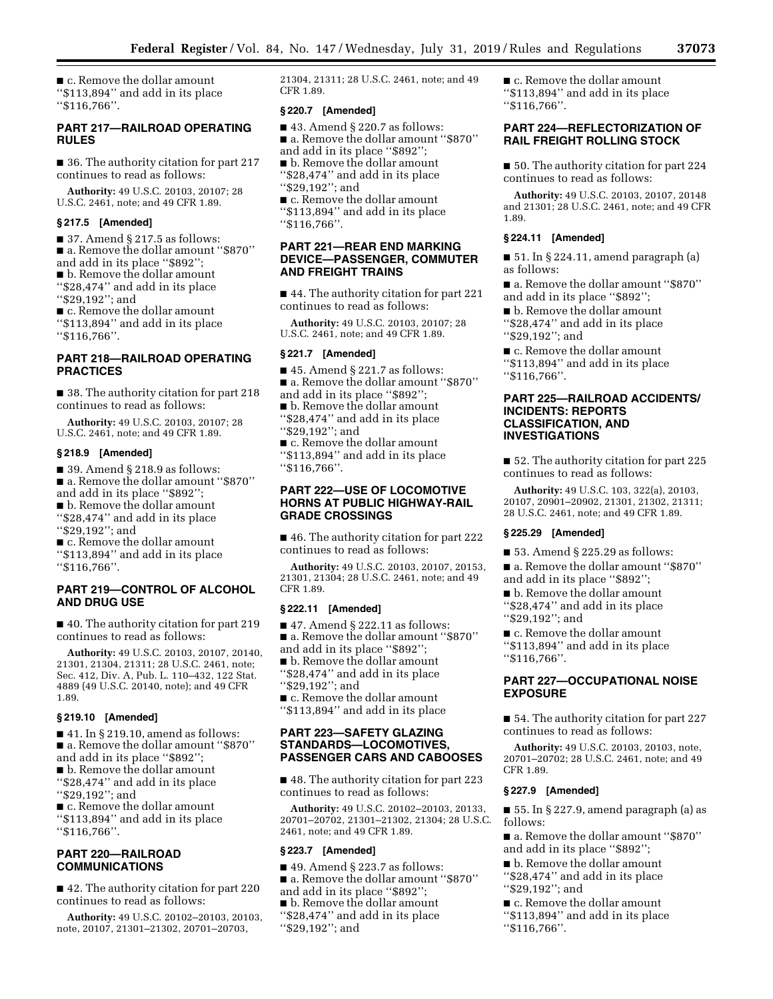■ c. Remove the dollar amount ''\$113,894'' and add in its place ''\$116,766''.

### **PART 217—RAILROAD OPERATING RULES**

■ 36. The authority citation for part 217 continues to read as follows:

**Authority:** 49 U.S.C. 20103, 20107; 28 U.S.C. 2461, note; and 49 CFR 1.89.

#### **§ 217.5 [Amended]**

 $\blacksquare$  37. Amend § 217.5 as follows: ■ a. Remove the dollar amount "\$870" and add in its place ''\$892''; ■ b. Remove the dollar amount ''\$28,474'' and add in its place ''\$29,192''; and ■ c. Remove the dollar amount

''\$113,894'' and add in its place ''\$116,766''.

### **PART 218—RAILROAD OPERATING PRACTICES**

■ 38. The authority citation for part 218 continues to read as follows:

**Authority:** 49 U.S.C. 20103, 20107; 28 U.S.C. 2461, note; and 49 CFR 1.89.

#### **§ 218.9 [Amended]**

 $\blacksquare$  39. Amend § 218.9 as follows: ■ a. Remove the dollar amount ''\$870'' and add in its place ''\$892''; ■ b. Remove the dollar amount ''\$28,474'' and add in its place ''\$29,192''; and ■ c. Remove the dollar amount

''\$113,894'' and add in its place ''\$116,766''.

### **PART 219—CONTROL OF ALCOHOL AND DRUG USE**

■ 40. The authority citation for part 219 continues to read as follows:

**Authority:** 49 U.S.C. 20103, 20107, 20140, 21301, 21304, 21311; 28 U.S.C. 2461, note; Sec. 412, Div. A, Pub. L. 110–432, 122 Stat. 4889 (49 U.S.C. 20140, note); and 49 CFR 1.89.

#### **§ 219.10 [Amended]**

■ 41. In § 219.10, amend as follows: ■ a. Remove the dollar amount "\$870" and add in its place ''\$892''; ■ b. Remove the dollar amount ''\$28,474'' and add in its place ''\$29,192''; and

■ c. Remove the dollar amount ''\$113,894'' and add in its place ''\$116,766''.

### **PART 220—RAILROAD COMMUNICATIONS**

■ 42. The authority citation for part 220 continues to read as follows:

**Authority:** 49 U.S.C. 20102–20103, 20103, note, 20107, 21301–21302, 20701–20703,

21304, 21311; 28 U.S.C. 2461, note; and 49 CFR 1.89.

### **§ 220.7 [Amended]**

 $\blacksquare$  43. Amend § 220.7 as follows: ■ a. Remove the dollar amount "\$870" and add in its place ''\$892'';

■ b. Remove the dollar amount ''\$28,474'' and add in its place ''\$29,192''; and

■ c. Remove the dollar amount ''\$113,894'' and add in its place ''\$116,766''.

### **PART 221—REAR END MARKING DEVICE—PASSENGER, COMMUTER AND FREIGHT TRAINS**

■ 44. The authority citation for part 221 continues to read as follows:

**Authority:** 49 U.S.C. 20103, 20107; 28 U.S.C. 2461, note; and 49 CFR 1.89.

#### **§ 221.7 [Amended]**

 $\blacksquare$  45. Amend § 221.7 as follows:

- a. Remove the dollar amount ''\$870''
- and add in its place ''\$892'';

■ b. Remove the dollar amount ''\$28,474'' and add in its place ''\$29,192''; and

■ c. Remove the dollar amount ''\$113,894'' and add in its place ''\$116,766''.

### **PART 222—USE OF LOCOMOTIVE HORNS AT PUBLIC HIGHWAY-RAIL GRADE CROSSINGS**

■ 46. The authority citation for part 222 continues to read as follows:

**Authority:** 49 U.S.C. 20103, 20107, 20153, 21301, 21304; 28 U.S.C. 2461, note; and 49 CFR 1.89.

### **§ 222.11 [Amended]**

■ 47. Amend § 222.11 as follows: ■ a. Remove the dollar amount "\$870" and add in its place ''\$892'';

■ b. Remove the dollar amount

''\$28,474'' and add in its place ''\$29,192''; and

■ c. Remove the dollar amount ''\$113,894'' and add in its place

### **PART 223—SAFETY GLAZING STANDARDS—LOCOMOTIVES, PASSENGER CARS AND CABOOSES**

■ 48. The authority citation for part 223 continues to read as follows:

**Authority:** 49 U.S.C. 20102–20103, 20133, 20701–20702, 21301–21302, 21304; 28 U.S.C. 2461, note; and 49 CFR 1.89.

#### **§ 223.7 [Amended]**

 $\blacksquare$  49. Amend § 223.7 as follows:

■ a. Remove the dollar amount "\$870"

- and add in its place ''\$892'';
- b. Remove the dollar amount
- ''\$28,474'' and add in its place ''\$29,192''; and

■ c. Remove the dollar amount ''\$113,894'' and add in its place ''\$116,766''.

#### **PART 224—REFLECTORIZATION OF RAIL FREIGHT ROLLING STOCK**

■ 50. The authority citation for part 224 continues to read as follows:

**Authority:** 49 U.S.C. 20103, 20107, 20148 and 21301; 28 U.S.C. 2461, note; and 49 CFR 1.89.

### **§ 224.11 [Amended]**

■ 51. In § 224.11, amend paragraph (a) as follows:

■ a. Remove the dollar amount "\$870" and add in its place ''\$892'';

■ b. Remove the dollar amount ''\$28,474'' and add in its place ''\$29,192''; and

■ c. Remove the dollar amount ''\$113,894'' and add in its place ''\$116,766''.

### **PART 225—RAILROAD ACCIDENTS/ INCIDENTS: REPORTS CLASSIFICATION, AND INVESTIGATIONS**

■ 52. The authority citation for part 225 continues to read as follows:

**Authority:** 49 U.S.C. 103, 322(a), 20103, 20107, 20901–20902, 21301, 21302, 21311; 28 U.S.C. 2461, note; and 49 CFR 1.89.

### **§ 225.29 [Amended]**

■ 53. Amend § 225.29 as follows:

■ a. Remove the dollar amount ''\$870'' and add in its place ''\$892'';

■ b. Remove the dollar amount ''\$28,474'' and add in its place ''\$29,192''; and

■ c. Remove the dollar amount ''\$113,894'' and add in its place ''\$116,766''.

#### **PART 227—OCCUPATIONAL NOISE EXPOSURE**

■ 54. The authority citation for part 227 continues to read as follows:

**Authority:** 49 U.S.C. 20103, 20103, note, 20701–20702; 28 U.S.C. 2461, note; and 49 CFR 1.89.

#### **§ 227.9 [Amended]**

■ 55. In § 227.9, amend paragraph (a) as follows:

■ a. Remove the dollar amount "\$870" and add in its place ''\$892'';

- b. Remove the dollar amount
- ''\$28,474'' and add in its place ''\$29,192''; and

■ c. Remove the dollar amount

- ''\$113,894'' and add in its place
- ''\$116,766''.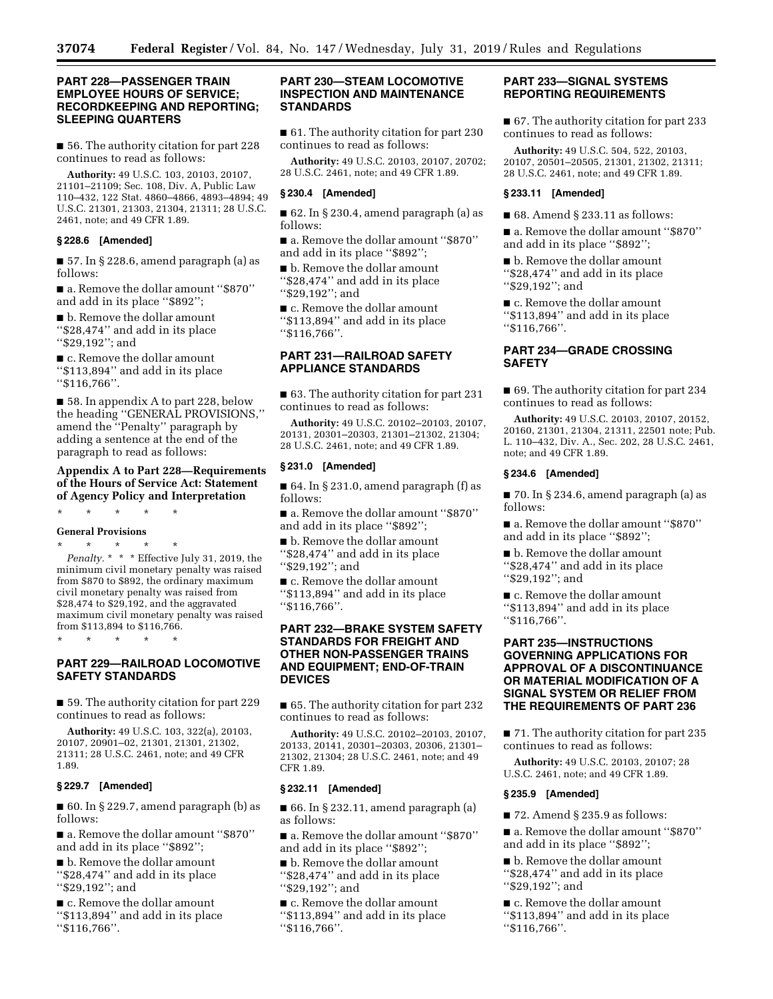### **PART 228—PASSENGER TRAIN EMPLOYEE HOURS OF SERVICE; RECORDKEEPING AND REPORTING; SLEEPING QUARTERS**

■ 56. The authority citation for part 228 continues to read as follows:

**Authority:** 49 U.S.C. 103, 20103, 20107, 21101–21109; Sec. 108, Div. A, Public Law 110–432, 122 Stat. 4860–4866, 4893–4894; 49 U.S.C. 21301, 21303, 21304, 21311; 28 U.S.C. 2461, note; and 49 CFR 1.89.

### **§ 228.6 [Amended]**

■ 57. In § 228.6, amend paragraph (a) as follows:

■ a. Remove the dollar amount "\$870" and add in its place ''\$892'';

■ b. Remove the dollar amount ''\$28,474'' and add in its place ''\$29,192''; and

■ c. Remove the dollar amount ''\$113,894'' and add in its place ''\$116,766''.

■ 58. In appendix A to part 228, below the heading ''GENERAL PROVISIONS,'' amend the ''Penalty'' paragraph by adding a sentence at the end of the paragraph to read as follows:

### **Appendix A to Part 228—Requirements of the Hours of Service Act: Statement of Agency Policy and Interpretation**

\* \* \* \* \*

**General Provisions** 

\* \* \* \* \* *Penalty.* \* \* \* Effective July 31, 2019, the minimum civil monetary penalty was raised from \$870 to \$892, the ordinary maximum civil monetary penalty was raised from \$28,474 to \$29,192, and the aggravated maximum civil monetary penalty was raised from \$113,894 to \$116,766.

\* \* \* \* \*

### **PART 229—RAILROAD LOCOMOTIVE SAFETY STANDARDS**

■ 59. The authority citation for part 229 continues to read as follows:

**Authority:** 49 U.S.C. 103, 322(a), 20103, 20107, 20901–02, 21301, 21301, 21302, 21311; 28 U.S.C. 2461, note; and 49 CFR 1.89.

### **§ 229.7 [Amended]**

 $\blacksquare$  60. In § 229.7, amend paragraph (b) as follows:

■ a. Remove the dollar amount "\$870" and add in its place ''\$892'';

■ b. Remove the dollar amount ''\$28,474'' and add in its place ''\$29,192''; and

■ c. Remove the dollar amount ''\$113,894'' and add in its place ''\$116,766''.

### **PART 230—STEAM LOCOMOTIVE INSPECTION AND MAINTENANCE STANDARDS**

■ 61. The authority citation for part 230 continues to read as follows:

**Authority:** 49 U.S.C. 20103, 20107, 20702; 28 U.S.C. 2461, note; and 49 CFR 1.89.

### **§ 230.4 [Amended]**

■ 62. In § 230.4, amend paragraph (a) as follows:

■ a. Remove the dollar amount "\$870" and add in its place ''\$892'';

■ b. Remove the dollar amount ''\$28,474'' and add in its place ''\$29,192''; and

■ c. Remove the dollar amount ''\$113,894'' and add in its place ''\$116,766''.

### **PART 231—RAILROAD SAFETY APPLIANCE STANDARDS**

■ 63. The authority citation for part 231 continues to read as follows:

**Authority:** 49 U.S.C. 20102–20103, 20107, 20131, 20301–20303, 21301–21302, 21304; 28 U.S.C. 2461, note; and 49 CFR 1.89.

#### **§ 231.0 [Amended]**

■ 64. In § 231.0, amend paragraph (f) as follows:

■ a. Remove the dollar amount "\$870" and add in its place ''\$892'';

■ b. Remove the dollar amount ''\$28,474'' and add in its place ''\$29,192''; and

■ c. Remove the dollar amount ''\$113,894'' and add in its place ''\$116,766''.

### **PART 232—BRAKE SYSTEM SAFETY STANDARDS FOR FREIGHT AND OTHER NON-PASSENGER TRAINS AND EQUIPMENT; END-OF-TRAIN DEVICES**

■ 65. The authority citation for part 232 continues to read as follows:

**Authority:** 49 U.S.C. 20102–20103, 20107, 20133, 20141, 20301–20303, 20306, 21301– 21302, 21304; 28 U.S.C. 2461, note; and 49 CFR 1.89.

### **§ 232.11 [Amended]**

■ 66. In § 232.11, amend paragraph (a) as follows:

■ a. Remove the dollar amount "\$870" and add in its place ''\$892'';

■ b. Remove the dollar amount ''\$28,474'' and add in its place ''\$29,192''; and

■ c. Remove the dollar amount ''\$113,894'' and add in its place ''\$116,766''.

### **PART 233—SIGNAL SYSTEMS REPORTING REQUIREMENTS**

■ 67. The authority citation for part 233 continues to read as follows:

**Authority:** 49 U.S.C. 504, 522, 20103, 20107, 20501–20505, 21301, 21302, 21311; 28 U.S.C. 2461, note; and 49 CFR 1.89.

#### **§ 233.11 [Amended]**

■ 68. Amend § 233.11 as follows:

■ a. Remove the dollar amount "\$870" and add in its place ''\$892'';

■ b. Remove the dollar amount ''\$28,474'' and add in its place ''\$29,192''; and

■ c. Remove the dollar amount ''\$113,894'' and add in its place ''\$116,766''.

### **PART 234—GRADE CROSSING SAFETY**

■ 69. The authority citation for part 234 continues to read as follows:

**Authority:** 49 U.S.C. 20103, 20107, 20152, 20160, 21301, 21304, 21311, 22501 note; Pub. L. 110–432, Div. A., Sec. 202, 28 U.S.C. 2461, note; and 49 CFR 1.89.

#### **§ 234.6 [Amended]**

■ 70. In § 234.6, amend paragraph (a) as follows:

■ a. Remove the dollar amount "\$870" and add in its place ''\$892'';

■ b. Remove the dollar amount ''\$28,474'' and add in its place ''\$29,192''; and

■ c. Remove the dollar amount ''\$113,894'' and add in its place ''\$116,766''.

### **PART 235—INSTRUCTIONS GOVERNING APPLICATIONS FOR APPROVAL OF A DISCONTINUANCE OR MATERIAL MODIFICATION OF A SIGNAL SYSTEM OR RELIEF FROM THE REQUIREMENTS OF PART 236**

■ 71. The authority citation for part 235 continues to read as follows:

**Authority:** 49 U.S.C. 20103, 20107; 28 U.S.C. 2461, note; and 49 CFR 1.89.

#### **§ 235.9 [Amended]**

 $\blacksquare$  72. Amend § 235.9 as follows:

■ a. Remove the dollar amount "\$870" and add in its place ''\$892'';

■ b. Remove the dollar amount ''\$28,474'' and add in its place ''\$29,192''; and

■ c. Remove the dollar amount

- ''\$113,894'' and add in its place
- ''\$116,766''.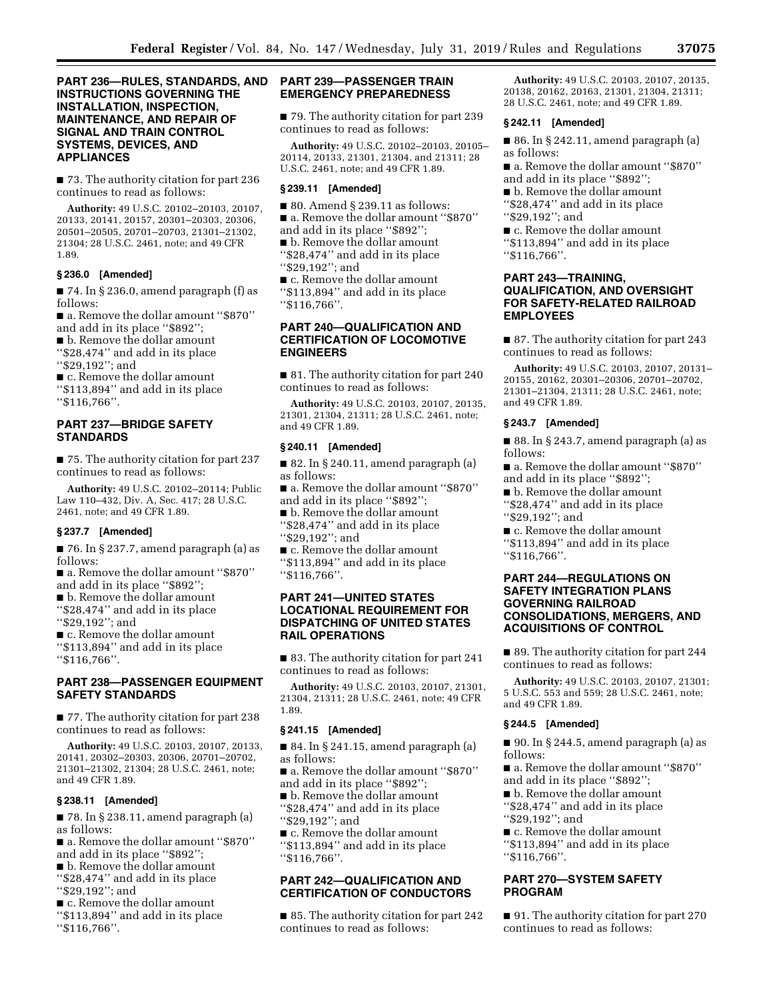### **PART 236—RULES, STANDARDS, AND INSTRUCTIONS GOVERNING THE INSTALLATION, INSPECTION, MAINTENANCE, AND REPAIR OF SIGNAL AND TRAIN CONTROL SYSTEMS, DEVICES, AND APPLIANCES**

■ 73. The authority citation for part 236 continues to read as follows:

**Authority:** 49 U.S.C. 20102–20103, 20107, 20133, 20141, 20157, 20301–20303, 20306, 20501–20505, 20701–20703, 21301–21302, 21304; 28 U.S.C. 2461, note; and 49 CFR 1.89.

#### **§ 236.0 [Amended]**

■ 74. In § 236.0, amend paragraph (f) as follows: ■ a. Remove the dollar amount "\$870"

and add in its place ''\$892'';

■ b. Remove the dollar amount ''\$28,474'' and add in its place ''\$29,192''; and

■ c. Remove the dollar amount ''\$113,894'' and add in its place ''\$116,766''.

### **PART 237—BRIDGE SAFETY STANDARDS**

■ 75. The authority citation for part 237 continues to read as follows:

**Authority:** 49 U.S.C. 20102–20114; Public Law 110–432, Div. A, Sec. 417; 28 U.S.C. 2461, note; and 49 CFR 1.89.

#### **§ 237.7 [Amended]**

■ 76. In § 237.7, amend paragraph (a) as follows:

■ a. Remove the dollar amount ''\$870'' and add in its place ''\$892'';

■ b. Remove the dollar amount ''\$28,474'' and add in its place ''\$29,192''; and

■ c. Remove the dollar amount ''\$113,894'' and add in its place ''\$116,766''.

### **PART 238—PASSENGER EQUIPMENT SAFETY STANDARDS**

■ 77. The authority citation for part 238 continues to read as follows:

**Authority:** 49 U.S.C. 20103, 20107, 20133, 20141, 20302–20303, 20306, 20701–20702, 21301–21302, 21304; 28 U.S.C. 2461, note; and 49 CFR 1.89.

#### **§ 238.11 [Amended]**

■ 78. In § 238.11, amend paragraph (a) as follows:

■ a. Remove the dollar amount ''\$870'' and add in its place ''\$892'';

■ b. Remove the dollar amount

''\$28,474'' and add in its place ''\$29,192''; and

■ c. Remove the dollar amount ''\$113,894'' and add in its place ''\$116,766''.

### **PART 239—PASSENGER TRAIN EMERGENCY PREPAREDNESS**

■ 79. The authority citation for part 239 continues to read as follows:

**Authority:** 49 U.S.C. 20102–20103, 20105– 20114, 20133, 21301, 21304, and 21311; 28 U.S.C. 2461, note; and 49 CFR 1.89.

#### **§ 239.11 [Amended]**

■ 80. Amend § 239.11 as follows:

- a. Remove the dollar amount "\$870"
- and add in its place ''\$892'';
- b. Remove the dollar amount ''\$28,474'' and add in its place
- ''\$29,192''; and

■ c. Remove the dollar amount ''\$113,894'' and add in its place ''\$116,766''.

### **PART 240—QUALIFICATION AND CERTIFICATION OF LOCOMOTIVE ENGINEERS**

■ 81. The authority citation for part 240 continues to read as follows:

**Authority:** 49 U.S.C. 20103, 20107, 20135, 21301, 21304, 21311; 28 U.S.C. 2461, note; and 49 CFR 1.89.

#### **§ 240.11 [Amended]**

■ 82. In § 240.11, amend paragraph (a) as follows:

■ a. Remove the dollar amount ''\$870'' and add in its place ''\$892'';

- b. Remove the dollar amount ''\$28,474'' and add in its place ''\$29,192''; and
- c. Remove the dollar amount ''\$113,894'' and add in its place ''\$116,766''.

### **PART 241—UNITED STATES LOCATIONAL REQUIREMENT FOR DISPATCHING OF UNITED STATES RAIL OPERATIONS**

■ 83. The authority citation for part 241 continues to read as follows:

**Authority:** 49 U.S.C. 20103, 20107, 21301, 21304, 21311; 28 U.S.C. 2461, note; 49 CFR 1.89.

#### **§ 241.15 [Amended]**

 $\blacksquare$  84. In § 241.15, amend paragraph (a) as follows:

■ a. Remove the dollar amount "\$870" and add in its place ''\$892'';

■ b. Remove the dollar amount ''\$28,474'' and add in its place ''\$29,192''; and

■ c. Remove the dollar amount

''\$113,894'' and add in its place ''\$116,766''.

# **PART 242—QUALIFICATION AND CERTIFICATION OF CONDUCTORS**

■ 85. The authority citation for part 242 continues to read as follows:

**Authority:** 49 U.S.C. 20103, 20107, 20135, 20138, 20162, 20163, 21301, 21304, 21311; 28 U.S.C. 2461, note; and 49 CFR 1.89.

#### **§ 242.11 [Amended]**

■ 86. In § 242.11, amend paragraph (a) as follows:

■ a. Remove the dollar amount "\$870" and add in its place ''\$892'';

■ b. Remove the dollar amount ''\$28,474'' and add in its place

''\$29,192''; and

■ c. Remove the dollar amount ''\$113,894'' and add in its place ''\$116,766''.

### **PART 243—TRAINING, QUALIFICATION, AND OVERSIGHT FOR SAFETY-RELATED RAILROAD EMPLOYEES**

■ 87. The authority citation for part 243 continues to read as follows:

**Authority:** 49 U.S.C. 20103, 20107, 20131– 20155, 20162, 20301–20306, 20701–20702, 21301–21304, 21311; 28 U.S.C. 2461, note; and 49 CFR 1.89.

#### **§ 243.7 [Amended]**

■ 88. In § 243.7, amend paragraph (a) as follows:

■ a. Remove the dollar amount "\$870" and add in its place ''\$892'';

■ b. Remove the dollar amount

''\$28,474'' and add in its place ''\$29,192''; and

■ c. Remove the dollar amount ''\$113,894'' and add in its place ''\$116,766''.

### **PART 244—REGULATIONS ON SAFETY INTEGRATION PLANS GOVERNING RAILROAD CONSOLIDATIONS, MERGERS, AND ACQUISITIONS OF CONTROL**

■ 89. The authority citation for part 244 continues to read as follows:

**Authority:** 49 U.S.C. 20103, 20107, 21301; 5 U.S.C. 553 and 559; 28 U.S.C. 2461, note; and 49 CFR 1.89.

#### **§ 244.5 [Amended]**

■ 90. In § 244.5, amend paragraph (a) as follows:

■ a. Remove the dollar amount ''\$870'' and add in its place ''\$892'';

■ b. Remove the dollar amount ''\$28,474'' and add in its place ''\$29,192''; and

■ c. Remove the dollar amount ''\$113,894'' and add in its place

''\$116,766''.

### **PART 270—SYSTEM SAFETY PROGRAM**

■ 91. The authority citation for part 270 continues to read as follows: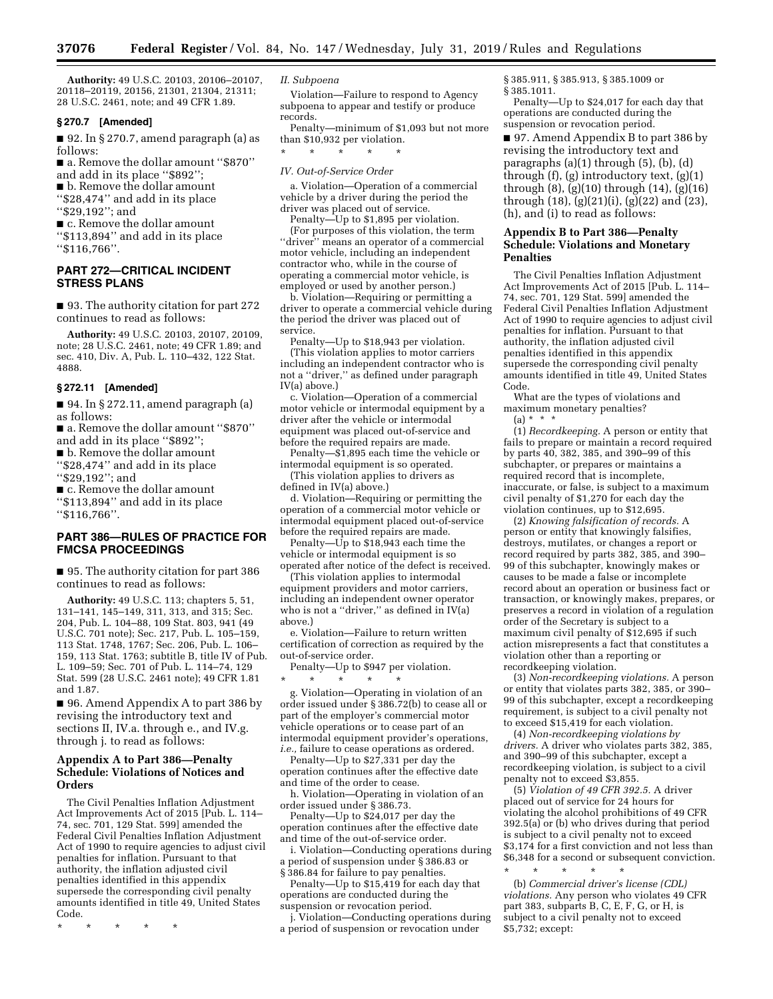**Authority:** 49 U.S.C. 20103, 20106–20107, 20118–20119, 20156, 21301, 21304, 21311; 28 U.S.C. 2461, note; and 49 CFR 1.89.

### **§ 270.7 [Amended]**

■ 92. In § 270.7, amend paragraph (a) as follows:

■ a. Remove the dollar amount ''\$870'' and add in its place ''\$892''; ■ b. Remove the dollar amount ''\$28,474'' and add in its place

''\$29,192''; and

■ c. Remove the dollar amount ''\$113,894'' and add in its place ''\$116,766''.

### **PART 272—CRITICAL INCIDENT STRESS PLANS**

■ 93. The authority citation for part 272 continues to read as follows:

**Authority:** 49 U.S.C. 20103, 20107, 20109, note; 28 U.S.C. 2461, note; 49 CFR 1.89; and sec. 410, Div. A, Pub. L. 110–432, 122 Stat. 4888.

#### **§ 272.11 [Amended]**

■ 94. In § 272.11, amend paragraph (a) as follows:

■ a. Remove the dollar amount "\$870" and add in its place ''\$892'';

■ b. Remove the dollar amount

''\$28,474'' and add in its place ''\$29,192''; and

■ c. Remove the dollar amount ''\$113,894'' and add in its place ''\$116,766''.

### **PART 386—RULES OF PRACTICE FOR FMCSA PROCEEDINGS**

■ 95. The authority citation for part 386 continues to read as follows:

**Authority:** 49 U.S.C. 113; chapters 5, 51, 131–141, 145–149, 311, 313, and 315; Sec. 204, Pub. L. 104–88, 109 Stat. 803, 941 (49 U.S.C. 701 note); Sec. 217, Pub. L. 105–159, 113 Stat. 1748, 1767; Sec. 206, Pub. L. 106– 159, 113 Stat. 1763; subtitle B, title IV of Pub. L. 109–59; Sec. 701 of Pub. L. 114–74, 129 Stat. 599 (28 U.S.C. 2461 note); 49 CFR 1.81 and 1.87.

■ 96. Amend Appendix A to part 386 by revising the introductory text and sections II, IV.a. through e., and IV.g. through j. to read as follows:

### **Appendix A to Part 386—Penalty Schedule: Violations of Notices and Orders**

The Civil Penalties Inflation Adjustment Act Improvements Act of 2015 [Pub. L. 114– 74, sec. 701, 129 Stat. 599] amended the Federal Civil Penalties Inflation Adjustment Act of 1990 to require agencies to adjust civil penalties for inflation. Pursuant to that authority, the inflation adjusted civil penalties identified in this appendix supersede the corresponding civil penalty amounts identified in title 49, United States Code.

\* \* \* \* \*

#### *II. Subpoena*

Violation—Failure to respond to Agency subpoena to appear and testify or produce records.

Penalty—minimum of \$1,093 but not more than \$10,932 per violation.

# \* \* \* \* \*

### *IV. Out-of-Service Order*

a. Violation—Operation of a commercial vehicle by a driver during the period the driver was placed out of service.

Penalty—Up to \$1,895 per violation. (For purposes of this violation, the term "driver" means an operator of a commercial motor vehicle, including an independent contractor who, while in the course of operating a commercial motor vehicle, is employed or used by another person.)

b. Violation—Requiring or permitting a driver to operate a commercial vehicle during the period the driver was placed out of service.

Penalty—Up to \$18,943 per violation.

(This violation applies to motor carriers including an independent contractor who is not a ''driver,'' as defined under paragraph IV(a) above.)

c. Violation—Operation of a commercial motor vehicle or intermodal equipment by a driver after the vehicle or intermodal equipment was placed out-of-service and before the required repairs are made.

Penalty—\$1,895 each time the vehicle or intermodal equipment is so operated.

(This violation applies to drivers as defined in IV(a) above.)

d. Violation—Requiring or permitting the operation of a commercial motor vehicle or intermodal equipment placed out-of-service before the required repairs are made.

Penalty—Up to \$18,943 each time the vehicle or intermodal equipment is so operated after notice of the defect is received.

(This violation applies to intermodal equipment providers and motor carriers, including an independent owner operator who is not a "driver," as defined in IV(a) above.)

e. Violation—Failure to return written certification of correction as required by the out-of-service order.

Penalty—Up to \$947 per violation. \* \* \* \* \*

g. Violation—Operating in violation of an order issued under § 386.72(b) to cease all or part of the employer's commercial motor vehicle operations or to cease part of an intermodal equipment provider's operations, *i.e.,* failure to cease operations as ordered.

Penalty—Up to \$27,331 per day the operation continues after the effective date and time of the order to cease.

h. Violation—Operating in violation of an order issued under § 386.73.

Penalty—Up to \$24,017 per day the operation continues after the effective date and time of the out-of-service order.

i. Violation—Conducting operations during a period of suspension under § 386.83 or § 386.84 for failure to pay penalties.

Penalty—Up to \$15,419 for each day that operations are conducted during the suspension or revocation period.

j. Violation—Conducting operations during a period of suspension or revocation under

§ 385.911, § 385.913, § 385.1009 or § 385.1011.

Penalty—Up to \$24,017 for each day that operations are conducted during the suspension or revocation period.

■ 97. Amend Appendix B to part 386 by revising the introductory text and paragraphs (a)(1) through (5), (b), (d) through  $(f)$ ,  $(g)$  introductory text,  $(g)(1)$ through (8), (g)(10) through (14), (g)(16) through (18), (g)(21)(i), (g)(22) and (23), (h), and (i) to read as follows:

#### **Appendix B to Part 386—Penalty Schedule: Violations and Monetary Penalties**

The Civil Penalties Inflation Adjustment Act Improvements Act of 2015 [Pub. L. 114– 74, sec. 701, 129 Stat. 599] amended the Federal Civil Penalties Inflation Adjustment Act of 1990 to require agencies to adjust civil penalties for inflation. Pursuant to that authority, the inflation adjusted civil penalties identified in this appendix supersede the corresponding civil penalty amounts identified in title 49, United States Code.

What are the types of violations and maximum monetary penalties?

 $(a) * *$ 

(1) *Recordkeeping.* A person or entity that fails to prepare or maintain a record required by parts 40, 382, 385, and 390–99 of this subchapter, or prepares or maintains a required record that is incomplete, inaccurate, or false, is subject to a maximum civil penalty of \$1,270 for each day the violation continues, up to \$12,695.

(2) *Knowing falsification of records.* A person or entity that knowingly falsifies, destroys, mutilates, or changes a report or record required by parts 382, 385, and 390– 99 of this subchapter, knowingly makes or causes to be made a false or incomplete record about an operation or business fact or transaction, or knowingly makes, prepares, or preserves a record in violation of a regulation order of the Secretary is subject to a maximum civil penalty of \$12,695 if such action misrepresents a fact that constitutes a violation other than a reporting or recordkeeping violation.

(3) *Non-recordkeeping violations.* A person or entity that violates parts 382, 385, or 390– 99 of this subchapter, except a recordkeeping requirement, is subject to a civil penalty not to exceed \$15,419 for each violation.

(4) *Non-recordkeeping violations by drivers.* A driver who violates parts 382, 385, and 390–99 of this subchapter, except a recordkeeping violation, is subject to a civil penalty not to exceed \$3,855.

(5) *Violation of 49 CFR 392.5.* A driver placed out of service for 24 hours for violating the alcohol prohibitions of 49 CFR 392.5(a) or (b) who drives during that period is subject to a civil penalty not to exceed \$3,174 for a first conviction and not less than \$6,348 for a second or subsequent conviction.

\* \* \* \* \* (b) *Commercial driver's license (CDL) violations.* Any person who violates 49 CFR part 383, subparts B, C, E, F, G, or H, is subject to a civil penalty not to exceed \$5,732; except: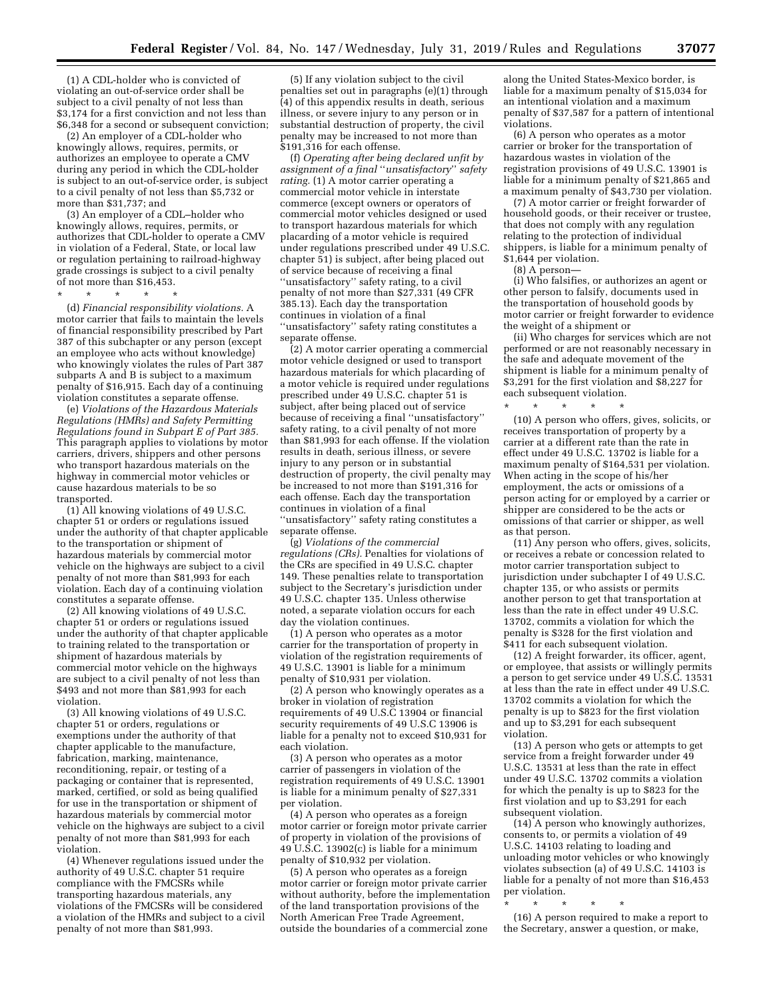(1) A CDL-holder who is convicted of violating an out-of-service order shall be subject to a civil penalty of not less than \$3,174 for a first conviction and not less than \$6,348 for a second or subsequent conviction;

(2) An employer of a CDL-holder who knowingly allows, requires, permits, or authorizes an employee to operate a CMV during any period in which the CDL-holder is subject to an out-of-service order, is subject to a civil penalty of not less than \$5,732 or more than \$31,737; and

(3) An employer of a CDL–holder who knowingly allows, requires, permits, or authorizes that CDL-holder to operate a CMV in violation of a Federal, State, or local law or regulation pertaining to railroad-highway grade crossings is subject to a civil penalty of not more than \$16,453.

\* \* \* \* \*

(d) *Financial responsibility violations.* A motor carrier that fails to maintain the levels of financial responsibility prescribed by Part 387 of this subchapter or any person (except an employee who acts without knowledge) who knowingly violates the rules of Part 387 subparts A and B is subject to a maximum penalty of \$16,915. Each day of a continuing violation constitutes a separate offense.

(e) *Violations of the Hazardous Materials Regulations (HMRs) and Safety Permitting Regulations found in Subpart E of Part 385.*  This paragraph applies to violations by motor carriers, drivers, shippers and other persons who transport hazardous materials on the highway in commercial motor vehicles or cause hazardous materials to be so transported.

(1) All knowing violations of 49 U.S.C. chapter 51 or orders or regulations issued under the authority of that chapter applicable to the transportation or shipment of hazardous materials by commercial motor vehicle on the highways are subject to a civil penalty of not more than \$81,993 for each violation. Each day of a continuing violation constitutes a separate offense.

(2) All knowing violations of 49 U.S.C. chapter 51 or orders or regulations issued under the authority of that chapter applicable to training related to the transportation or shipment of hazardous materials by commercial motor vehicle on the highways are subject to a civil penalty of not less than \$493 and not more than \$81,993 for each violation.

(3) All knowing violations of 49 U.S.C. chapter 51 or orders, regulations or exemptions under the authority of that chapter applicable to the manufacture, fabrication, marking, maintenance, reconditioning, repair, or testing of a packaging or container that is represented, marked, certified, or sold as being qualified for use in the transportation or shipment of hazardous materials by commercial motor vehicle on the highways are subject to a civil penalty of not more than \$81,993 for each violation.

(4) Whenever regulations issued under the authority of 49 U.S.C. chapter 51 require compliance with the FMCSRs while transporting hazardous materials, any violations of the FMCSRs will be considered a violation of the HMRs and subject to a civil penalty of not more than \$81,993.

(5) If any violation subject to the civil penalties set out in paragraphs (e)(1) through (4) of this appendix results in death, serious illness, or severe injury to any person or in substantial destruction of property, the civil penalty may be increased to not more than  $$191,316$  for each offense.

(f) *Operating after being declared unfit by assignment of a final* ''*unsatisfactory*'' *safety rating.* (1) A motor carrier operating a commercial motor vehicle in interstate commerce (except owners or operators of commercial motor vehicles designed or used to transport hazardous materials for which placarding of a motor vehicle is required under regulations prescribed under 49 U.S.C. chapter 51) is subject, after being placed out of service because of receiving a final ''unsatisfactory'' safety rating, to a civil penalty of not more than \$27,331 (49 CFR 385.13). Each day the transportation continues in violation of a final ''unsatisfactory'' safety rating constitutes a separate offense.

(2) A motor carrier operating a commercial motor vehicle designed or used to transport hazardous materials for which placarding of a motor vehicle is required under regulations prescribed under 49 U.S.C. chapter 51 is subject, after being placed out of service because of receiving a final ''unsatisfactory'' safety rating, to a civil penalty of not more than \$81,993 for each offense. If the violation results in death, serious illness, or severe injury to any person or in substantial destruction of property, the civil penalty may be increased to not more than \$191,316 for each offense. Each day the transportation continues in violation of a final ''unsatisfactory'' safety rating constitutes a separate offense.

(g) *Violations of the commercial regulations (CRs).* Penalties for violations of the CRs are specified in 49 U.S.C. chapter 149. These penalties relate to transportation subject to the Secretary's jurisdiction under 49 U.S.C. chapter 135. Unless otherwise noted, a separate violation occurs for each day the violation continues.

(1) A person who operates as a motor carrier for the transportation of property in violation of the registration requirements of 49 U.S.C. 13901 is liable for a minimum penalty of \$10,931 per violation.

(2) A person who knowingly operates as a broker in violation of registration requirements of 49 U.S.C 13904 or financial security requirements of 49 U.S.C 13906 is liable for a penalty not to exceed \$10,931 for each violation.

(3) A person who operates as a motor carrier of passengers in violation of the registration requirements of 49 U.S.C. 13901 is liable for a minimum penalty of \$27,331 per violation.

(4) A person who operates as a foreign motor carrier or foreign motor private carrier of property in violation of the provisions of 49 U.S.C. 13902(c) is liable for a minimum penalty of \$10,932 per violation.

(5) A person who operates as a foreign motor carrier or foreign motor private carrier without authority, before the implementation of the land transportation provisions of the North American Free Trade Agreement, outside the boundaries of a commercial zone

along the United States-Mexico border, is liable for a maximum penalty of \$15,034 for an intentional violation and a maximum penalty of \$37,587 for a pattern of intentional violations.

(6) A person who operates as a motor carrier or broker for the transportation of hazardous wastes in violation of the registration provisions of 49 U.S.C. 13901 is liable for a minimum penalty of \$21,865 and a maximum penalty of \$43,730 per violation.

(7) A motor carrier or freight forwarder of household goods, or their receiver or trustee, that does not comply with any regulation relating to the protection of individual shippers, is liable for a minimum penalty of \$1,644 per violation.

(8) A person—

(i) Who falsifies, or authorizes an agent or other person to falsify, documents used in the transportation of household goods by motor carrier or freight forwarder to evidence the weight of a shipment or

(ii) Who charges for services which are not performed or are not reasonably necessary in the safe and adequate movement of the shipment is liable for a minimum penalty of \$3,291 for the first violation and \$8,227 for each subsequent violation.

\* \* \* \* \*

(10) A person who offers, gives, solicits, or receives transportation of property by a carrier at a different rate than the rate in effect under 49 U.S.C. 13702 is liable for a maximum penalty of \$164,531 per violation. When acting in the scope of his/her employment, the acts or omissions of a person acting for or employed by a carrier or shipper are considered to be the acts or omissions of that carrier or shipper, as well as that person.

(11) Any person who offers, gives, solicits, or receives a rebate or concession related to motor carrier transportation subject to jurisdiction under subchapter I of 49 U.S.C. chapter 135, or who assists or permits another person to get that transportation at less than the rate in effect under 49 U.S.C. 13702, commits a violation for which the penalty is \$328 for the first violation and \$411 for each subsequent violation.

(12) A freight forwarder, its officer, agent, or employee, that assists or willingly permits a person to get service under 49 U.S.C. 13531 at less than the rate in effect under 49 U.S.C. 13702 commits a violation for which the penalty is up to \$823 for the first violation and up to \$3,291 for each subsequent violation.

(13) A person who gets or attempts to get service from a freight forwarder under 49 U.S.C. 13531 at less than the rate in effect under 49 U.S.C. 13702 commits a violation for which the penalty is up to \$823 for the first violation and up to \$3,291 for each subsequent violation.

(14) A person who knowingly authorizes, consents to, or permits a violation of 49 U.S.C. 14103 relating to loading and unloading motor vehicles or who knowingly violates subsection (a) of 49 U.S.C. 14103 is liable for a penalty of not more than \$16,453 per violation.

\* \* \* \* \*

(16) A person required to make a report to the Secretary, answer a question, or make,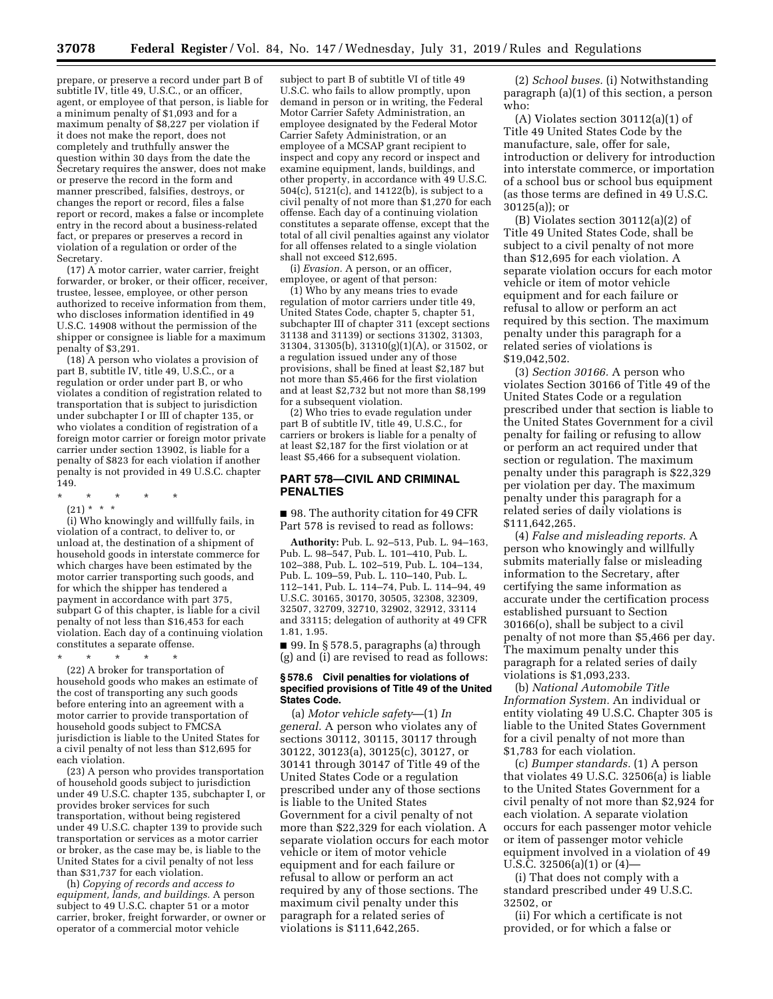prepare, or preserve a record under part B of subtitle IV, title 49, U.S.C., or an officer, agent, or employee of that person, is liable for a minimum penalty of \$1,093 and for a maximum penalty of \$8,227 per violation if it does not make the report, does not completely and truthfully answer the question within 30 days from the date the Secretary requires the answer, does not make or preserve the record in the form and manner prescribed, falsifies, destroys, or changes the report or record, files a false report or record, makes a false or incomplete entry in the record about a business-related fact, or prepares or preserves a record in violation of a regulation or order of the Secretary.

(17) A motor carrier, water carrier, freight forwarder, or broker, or their officer, receiver, trustee, lessee, employee, or other person authorized to receive information from them, who discloses information identified in 49 U.S.C. 14908 without the permission of the shipper or consignee is liable for a maximum penalty of \$3,291.

(18) A person who violates a provision of part B, subtitle IV, title 49, U.S.C., or a regulation or order under part B, or who violates a condition of registration related to transportation that is subject to jurisdiction under subchapter I or III of chapter 135, or who violates a condition of registration of a foreign motor carrier or foreign motor private carrier under section 13902, is liable for a penalty of \$823 for each violation if another penalty is not provided in 49 U.S.C. chapter 149.

- \* \* \* \* \*
- $(21)$  \* \* \*

(i) Who knowingly and willfully fails, in violation of a contract, to deliver to, or unload at, the destination of a shipment of household goods in interstate commerce for which charges have been estimated by the motor carrier transporting such goods, and for which the shipper has tendered a payment in accordance with part 375, subpart G of this chapter, is liable for a civil penalty of not less than \$16,453 for each violation. Each day of a continuing violation constitutes a separate offense.

\* \* \* \* \* (22) A broker for transportation of household goods who makes an estimate of the cost of transporting any such goods before entering into an agreement with a motor carrier to provide transportation of household goods subject to FMCSA jurisdiction is liable to the United States for a civil penalty of not less than \$12,695 for each violation.

(23) A person who provides transportation of household goods subject to jurisdiction under 49 U.S.C. chapter 135, subchapter I, or provides broker services for such transportation, without being registered under 49 U.S.C. chapter 139 to provide such transportation or services as a motor carrier or broker, as the case may be, is liable to the United States for a civil penalty of not less than \$31,737 for each violation.

(h) *Copying of records and access to equipment, lands, and buildings.* A person subject to 49 U.S.C. chapter 51 or a motor carrier, broker, freight forwarder, or owner or operator of a commercial motor vehicle

subject to part B of subtitle VI of title 49 U.S.C. who fails to allow promptly, upon demand in person or in writing, the Federal Motor Carrier Safety Administration, an employee designated by the Federal Motor Carrier Safety Administration, or an employee of a MCSAP grant recipient to inspect and copy any record or inspect and examine equipment, lands, buildings, and other property, in accordance with 49 U.S.C. 504(c), 5121(c), and 14122(b), is subject to a civil penalty of not more than \$1,270 for each offense. Each day of a continuing violation constitutes a separate offense, except that the total of all civil penalties against any violator for all offenses related to a single violation shall not exceed \$12,695.

(i) *Evasion.* A person, or an officer, employee, or agent of that person:

(1) Who by any means tries to evade regulation of motor carriers under title 49, United States Code, chapter 5, chapter 51, subchapter III of chapter 311 (except sections 31138 and 31139) or sections 31302, 31303, 31304, 31305(b), 31310(g)(1)(A), or 31502, or a regulation issued under any of those provisions, shall be fined at least \$2,187 but not more than \$5,466 for the first violation and at least \$2,732 but not more than \$8,199 for a subsequent violation.

(2) Who tries to evade regulation under part B of subtitle IV, title 49, U.S.C., for carriers or brokers is liable for a penalty of at least \$2,187 for the first violation or at least \$5,466 for a subsequent violation.

#### **PART 578—CIVIL AND CRIMINAL PENALTIES**

■ 98. The authority citation for 49 CFR Part 578 is revised to read as follows:

**Authority:** Pub. L. 92–513, Pub. L. 94–163, Pub. L. 98–547, Pub. L. 101–410, Pub. L. 102–388, Pub. L. 102–519, Pub. L. 104–134, Pub. L. 109–59, Pub. L. 110–140, Pub. L. 112–141, Pub. L. 114–74, Pub. L. 114–94, 49 U.S.C. 30165, 30170, 30505, 32308, 32309, 32507, 32709, 32710, 32902, 32912, 33114 and 33115; delegation of authority at 49 CFR 1.81, 1.95.

■ 99. In § 578.5, paragraphs (a) through (g) and (i) are revised to read as follows:

#### **§ 578.6 Civil penalties for violations of specified provisions of Title 49 of the United States Code.**

(a) *Motor vehicle safety*—(1) *In general.* A person who violates any of sections 30112, 30115, 30117 through 30122, 30123(a), 30125(c), 30127, or 30141 through 30147 of Title 49 of the United States Code or a regulation prescribed under any of those sections is liable to the United States Government for a civil penalty of not more than \$22,329 for each violation. A separate violation occurs for each motor vehicle or item of motor vehicle equipment and for each failure or refusal to allow or perform an act required by any of those sections. The maximum civil penalty under this paragraph for a related series of violations is \$111,642,265.

(2) *School buses.* (i) Notwithstanding paragraph (a)(1) of this section, a person who:

(A) Violates section 30112(a)(1) of Title 49 United States Code by the manufacture, sale, offer for sale, introduction or delivery for introduction into interstate commerce, or importation of a school bus or school bus equipment (as those terms are defined in 49 U.S.C. 30125(a)); or

(B) Violates section 30112(a)(2) of Title 49 United States Code, shall be subject to a civil penalty of not more than \$12,695 for each violation. A separate violation occurs for each motor vehicle or item of motor vehicle equipment and for each failure or refusal to allow or perform an act required by this section. The maximum penalty under this paragraph for a related series of violations is \$19,042,502.

(3) *Section 30166.* A person who violates Section 30166 of Title 49 of the United States Code or a regulation prescribed under that section is liable to the United States Government for a civil penalty for failing or refusing to allow or perform an act required under that section or regulation. The maximum penalty under this paragraph is \$22,329 per violation per day. The maximum penalty under this paragraph for a related series of daily violations is \$111,642,265.

(4) *False and misleading reports.* A person who knowingly and willfully submits materially false or misleading information to the Secretary, after certifying the same information as accurate under the certification process established pursuant to Section 30166(o), shall be subject to a civil penalty of not more than \$5,466 per day. The maximum penalty under this paragraph for a related series of daily violations is \$1,093,233.

(b) *National Automobile Title Information System.* An individual or entity violating 49 U.S.C. Chapter 305 is liable to the United States Government for a civil penalty of not more than \$1,783 for each violation.

(c) *Bumper standards.* (1) A person that violates 49 U.S.C. 32506(a) is liable to the United States Government for a civil penalty of not more than \$2,924 for each violation. A separate violation occurs for each passenger motor vehicle or item of passenger motor vehicle equipment involved in a violation of 49 U.S.C. 32506(a)(1) or (4)—

(i) That does not comply with a standard prescribed under 49 U.S.C. 32502, or

(ii) For which a certificate is not provided, or for which a false or